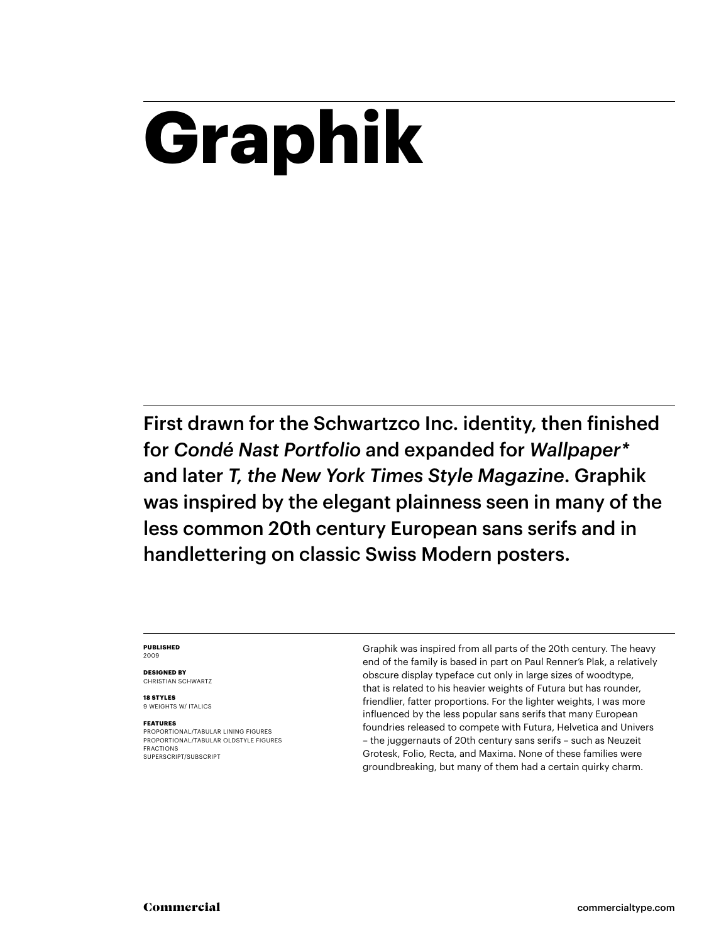# **Graphik**

First drawn for the Schwartzco Inc. identity, then finished for *Condé Nast Portfolio* and expanded for *Wallpaper\** and later *T, the New York Times Style Magazine*. Graphik was inspired by the elegant plainness seen in many of the less common 20th century European sans serifs and in handlettering on classic Swiss Modern posters.

### **PUBLISHED** 2009

**DESIGNED BY** CHRISTIAN SCHWARTZ

**18 STYLES** 9 WEIGHTS W/ ITALICS

### **FEATURES**

PROPORTIONAL/TABULAR LINING FIGURES PROPORTIONAL/TABULAR OLDSTYLE FIGURES FRACTIONS SUPERSCRIPT/SUBSCRIPT

Graphik was inspired from all parts of the 20th century. The heavy end of the family is based in part on Paul Renner's Plak, a relatively obscure display typeface cut only in large sizes of woodtype, that is related to his heavier weights of Futura but has rounder, friendlier, fatter proportions. For the lighter weights, I was more influenced by the less popular sans serifs that many European foundries released to compete with Futura, Helvetica and Univers – the juggernauts of 20th century sans serifs – such as Neuzeit Grotesk, Folio, Recta, and Maxima. None of these families were groundbreaking, but many of them had a certain quirky charm.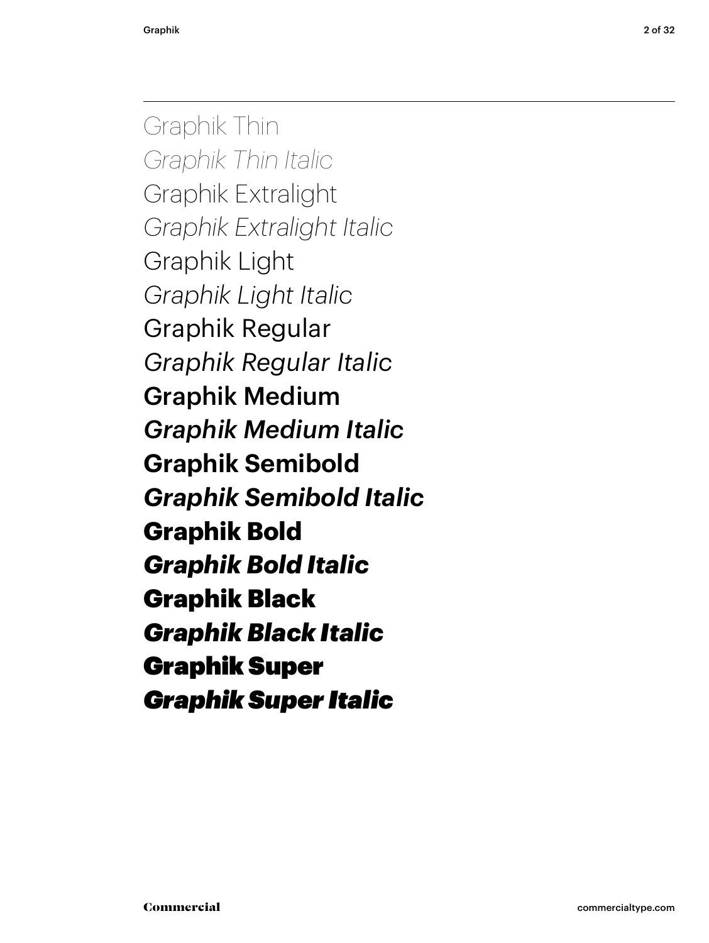Graphik Thin *Graphik Thin Italic* Graphik Extralight *Graphik Extralight Italic* Graphik Light *Graphik Light Italic* Graphik Regular *Graphik Regular Italic* Graphik Medium *Graphik Medium Italic* **Graphik Semibold** *Graphik Semibold Italic* **Graphik Bold** *Graphik Bold Italic* Graphik Black *Graphik Black Italic* Graphik Super *Graphik Super Italic*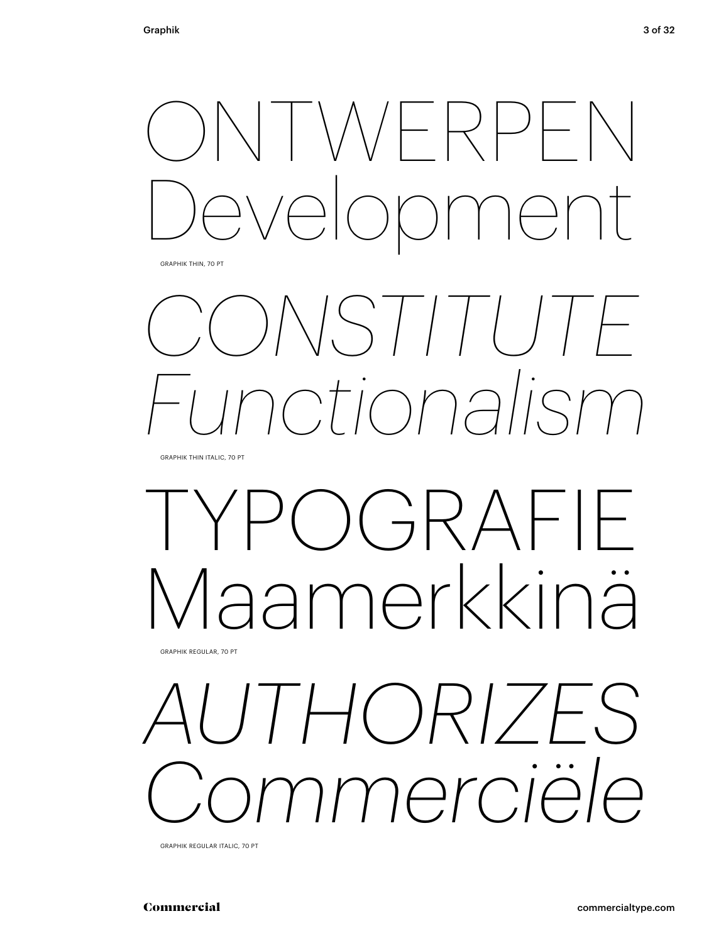

GRAPHIK THIN, 70 PT

# *CONSTITUTE Functionalism*

GRAPHIK THIN ITALIC, 70 PT

## $O(\vec{C})$ Maamerkkinä GRAPHIK REGULAR, 70 PT

*AUTHORIZES Commerciële*

GRAPHIK REGULAR ITALIC, 70 PT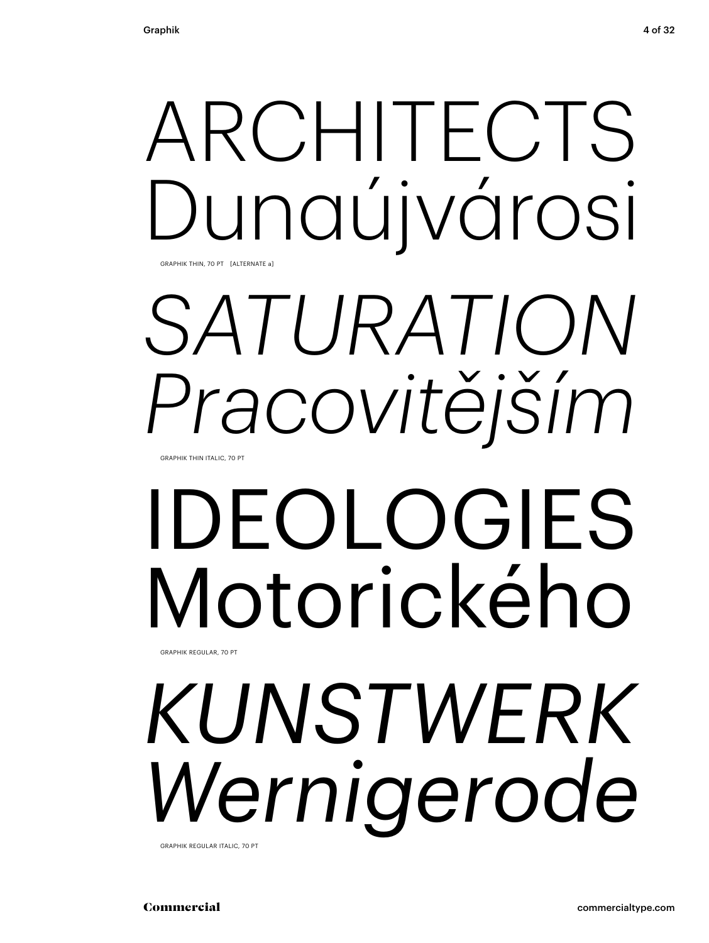# ARCHITECTS Dunaújvárosi

GRAPHIK THIN, 70 PT [ALTERNATE a]

# *SATURATION Pracovitějším*

GRAPHIK THIN ITALIC, 70 PT

## IDEOLOGIES Motorického GRAPHIK REGULAR, 70 PT

*KUNSTWERK Wernigerode*

GRAPHIK REGULAR ITALIC, 70 PT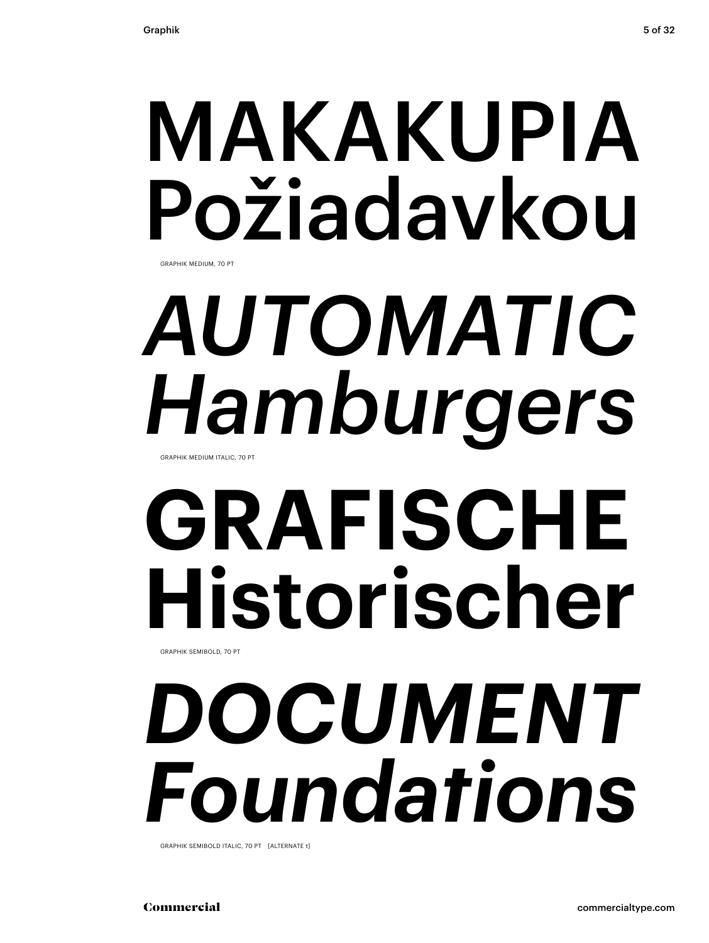## MAKAKUPIA Požiadavkou GRAPHIK MEDIUM, 70 PT

## *AUTOMATIC Hamburgers* GRAPHIK MEDIUM ITALIC, 70 PT

## **GRAFISCHE Historischer** GRAPHIK SEMIBOLD, 70 PT

*DOCUMENT Foundations*

GRAPHIK SEMIBOLD ITALIC, 70 PT [ALTERNATE t]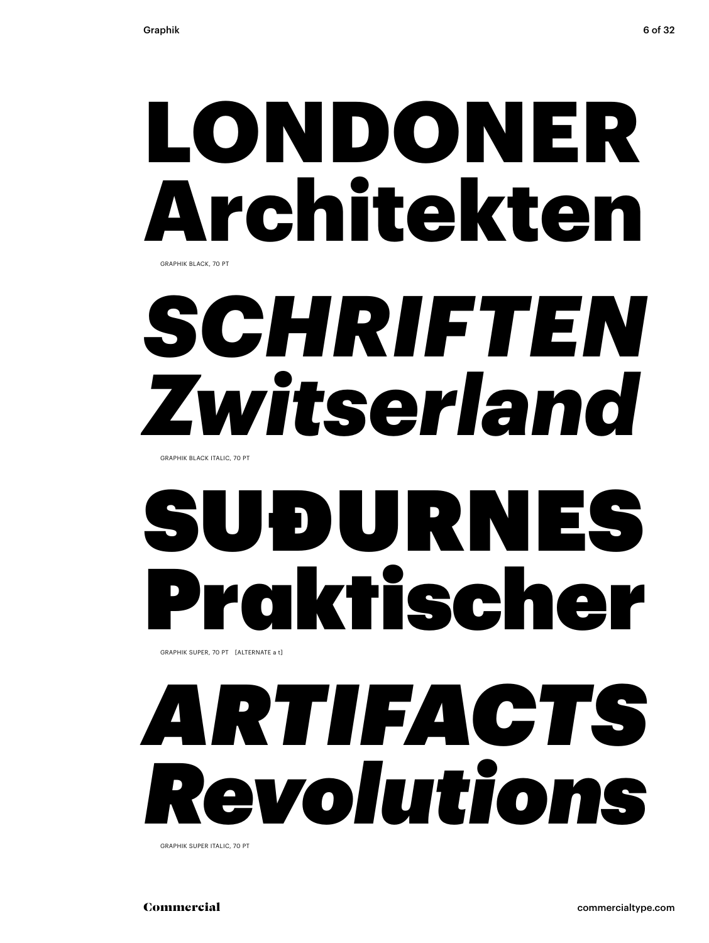## LONDONER Architekten GRAPHIK BLACK, 70 PT

# *SCHRIFTEN Zwitserland*

GRAPHIK BLACK ITALIC, 70 PT

# SUÐURNES Praktischer

GRAPHIK SUPER, 70 PT [ALTERNATE a t]

# *ARTIFACTS Revolutions*

GRAPHIK SUPER ITALIC, 70 PT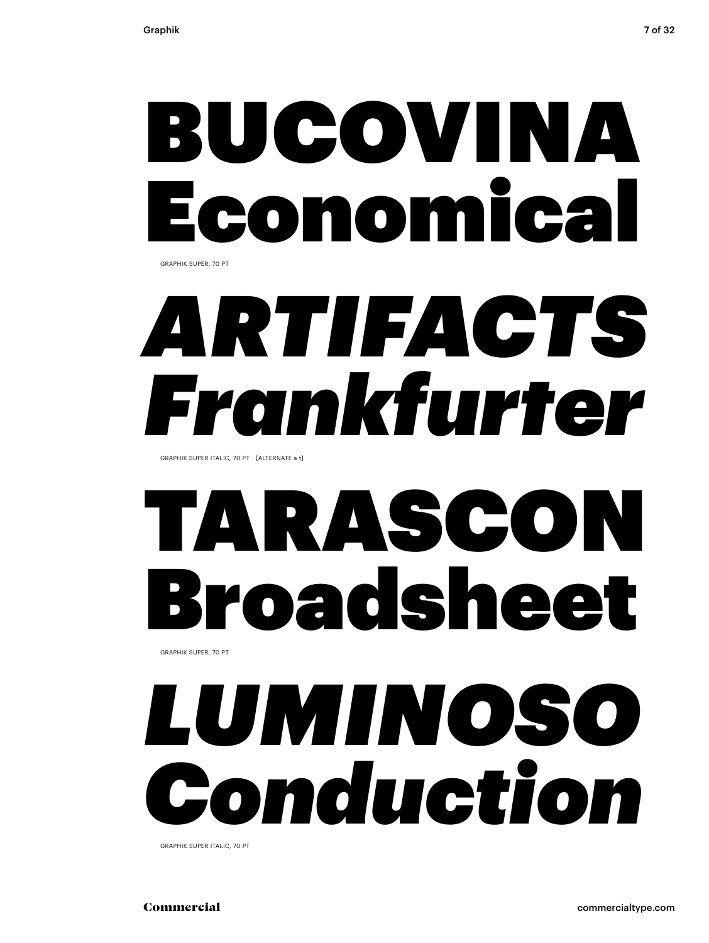## BUCOVINA Economical GRAPHIK SUPER, 70 PT

# *ARTIFACTS Frankfurter*

GRAPHIK SUPER ITALIC, 70 PT [ALTERNATE a t]

### TARASCON Broadsheet GRAPHIK SUPER, 70 PT

# *LUMINOSO Conduction*

GRAPHIK SUPER ITALIC, 70 PT

Commercial commercialtype.com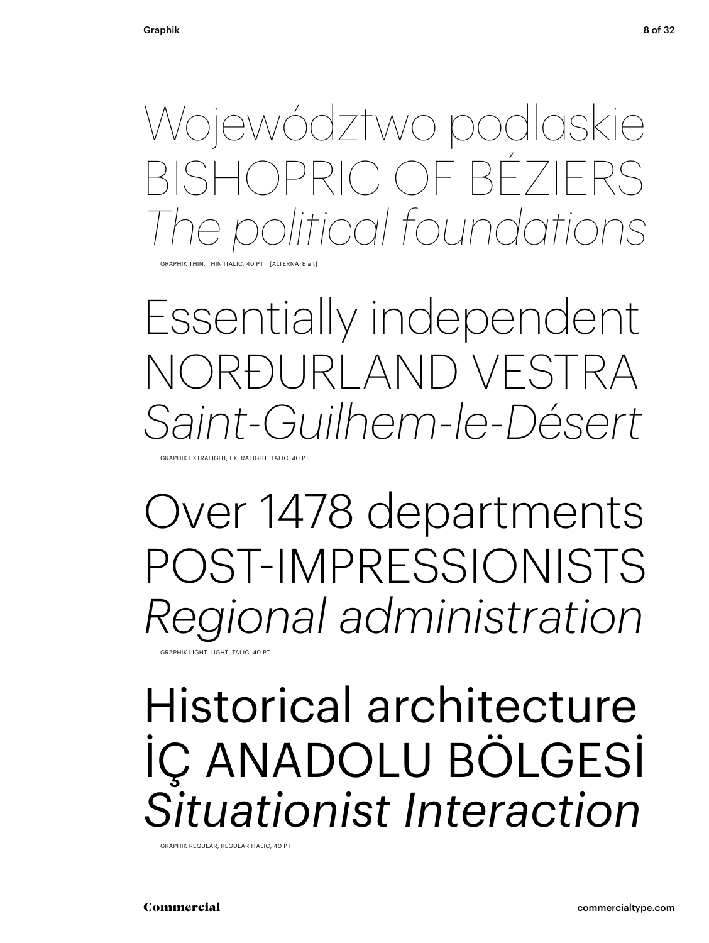Województwo podlaskie BISHOPRIC OF BÉZIERS *The political foundations*

THIN, THIN ITALIC, 40 PT [ALTERNAT

Essentially independent NORÐURLAND VESTRA *Saint-Guilhem-le-Désert*

GRAPHIK EXTRALIGHT, EXTRALIGHT ITALIC, 40 PT

Over 1478 departments POST-IMPRESSIONISTS *Regional administration*

GRAPHIK LIGHT, LIGHT ITALIC, 40 PT

### Historical architecture İÇ ANADOLU BÖLGESİ *Situationist Interaction*

GRAPHIK REGULAR, REGULAR ITALIC, 40 PT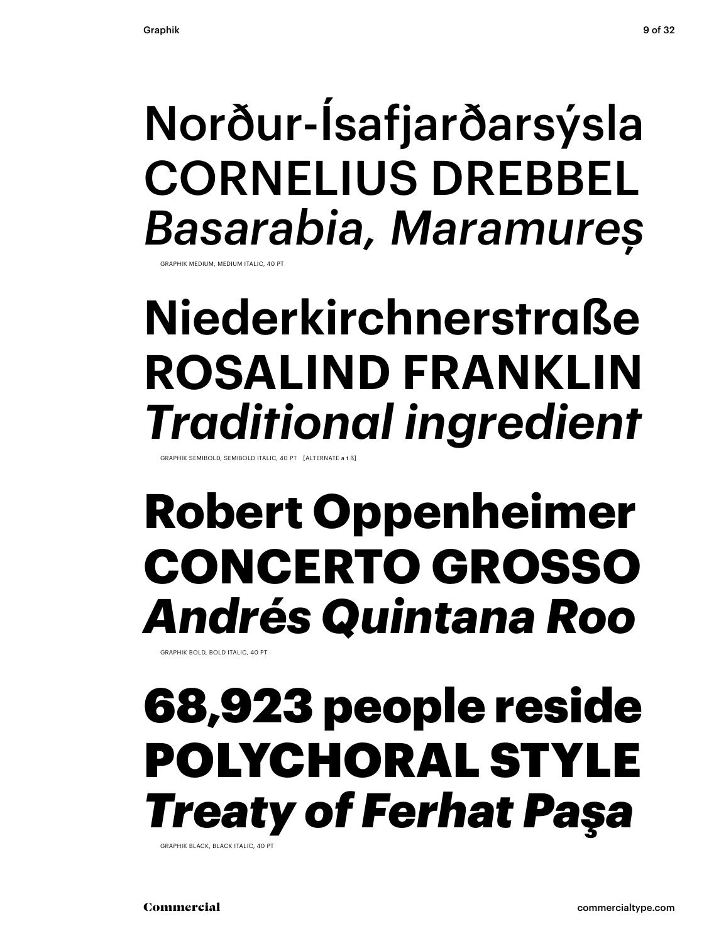### Norður-Ísafjarðarsýsla CORNELIUS DREBBEL *Basarabia, Maramureș*

GRAPHIK MEDIUM, MEDIUM ITALIC, 40 PT

### **Niederkirchnerstraße ROSALIND FRANKLIN**  *Traditional ingredient*

GRAPHIK SEMIBOLD, SEMIBOLD ITALIC, 40 PT [ALTERNATE a t ß]

### **Robert Oppenheimer CONCERTO GROSSO** *Andrés Quintana Roo*

GRAPHIK BOLD, BOLD ITALIC, 40 PT

### 68,923 people reside POLYCHORAL STYLE *Treaty of Ferhat Paşa*

GRAPHIK BLACK, BLACK ITALIC, 40 PT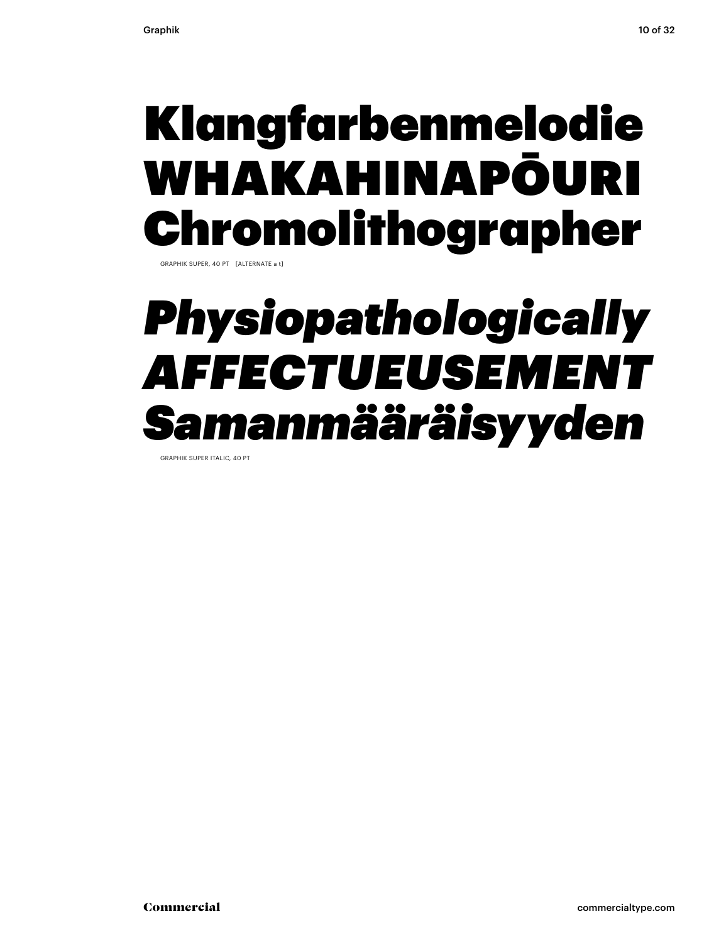### Klangfarbenmelodie WHAKAHINAPŌURI Chromolithographer

GRAPHIK SUPER, 40 PT [ALTERNATE a t]

### *Physiopathologically AFFECTUEUSEMENT Samanmääräisyyden*

GRAPHIK SUPER ITALIC, 40 PT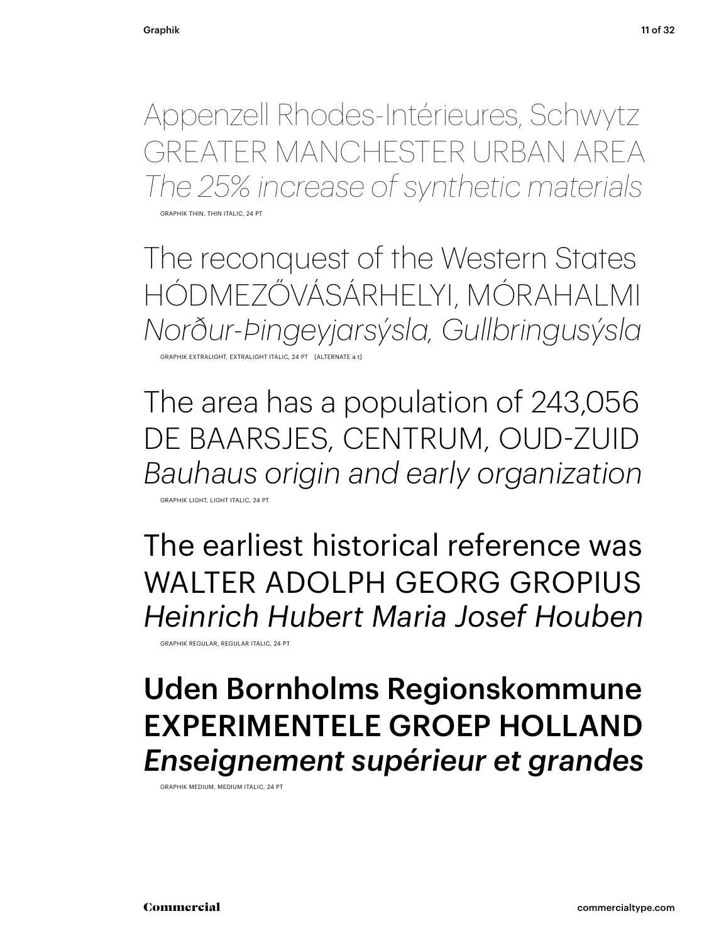Appenzell Rhodes-Intérieures, Schwytz GREATER MANCHESTER URBAN AREA *The 25% increase of synthetic materials*

GRAPHIK THIN, THIN ITALIC, 2

The reconquest of the Western States HÓDMEZŐVÁSÁRHELYI, MÓRAHALMI *Norður-Þingeyjarsýsla, Gullbringusýsla* GRAPHIK EXTRALIGHT, EXTRALIGHT ITALIC, 24 PT [ALTERNATE a t]

The area has a population of 243,056 DE BAARSJES, CENTRUM, OUD-ZUID *Bauhaus origin and early organization*

GRAPHIK LIGHT, LIGHT ITALIC, 24 PT

The earliest historical reference was WALTER ADOLPH GEORG GROPIUS *Heinrich Hubert Maria Josef Houben*

GRAPHIK REGULAR, REGULAR ITALIC, 24 PT

### Uden Bornholms Regionskommune EXPERIMENTELE GROEP HOLLAND *Enseignement supérieur et grandes*

GRAPHIK MEDIUM, MEDIUM ITALIC, 24 PT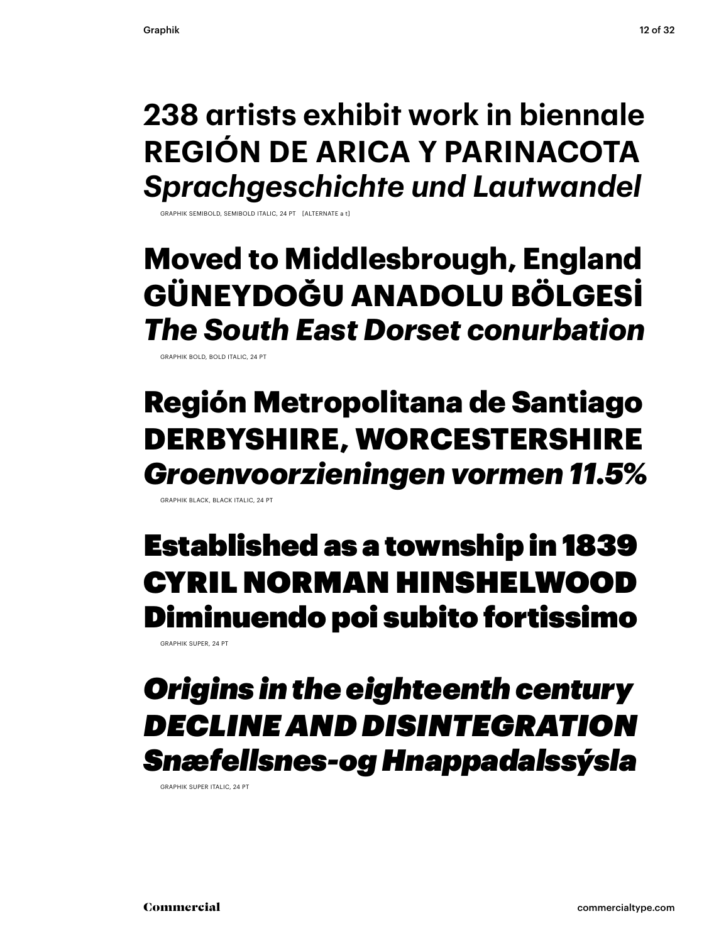### **238 artists exhibit work in biennale REGIÓN DE ARICA Y PARINACOTA** *Sprachgeschichte und Lautwandel*

PHIK SEMIBOLD, SEMIBOLD ITALIC, 24 PT [ALTERNATE a

### **Moved to Middlesbrough, England GÜNEYDOĞU ANADOLU BÖLGESİ** *The South East Dorset conurbation*

GRAPHIK BOLD, BOLD ITALIC, 24 PT

### Región Metropolitana de Santiago DERBYSHIRE, WORCESTERSHIRE *Groenvoorzieningen vormen 11.5%*

GRAPHIK BLACK, BLACK ITALIC, 24 PT

### Established as a township in 1839 CYRIL NORMAN HINSHELWOOD Diminuendo poi subito fortissimo

GRAPHIK SUPER, 24 PT

### *Origins in the eighteenth century DECLINE AND DISINTEGRATION Snæfellsnes-og Hnappadalssýsla*

GRAPHIK SUPER ITALIC, 24 PT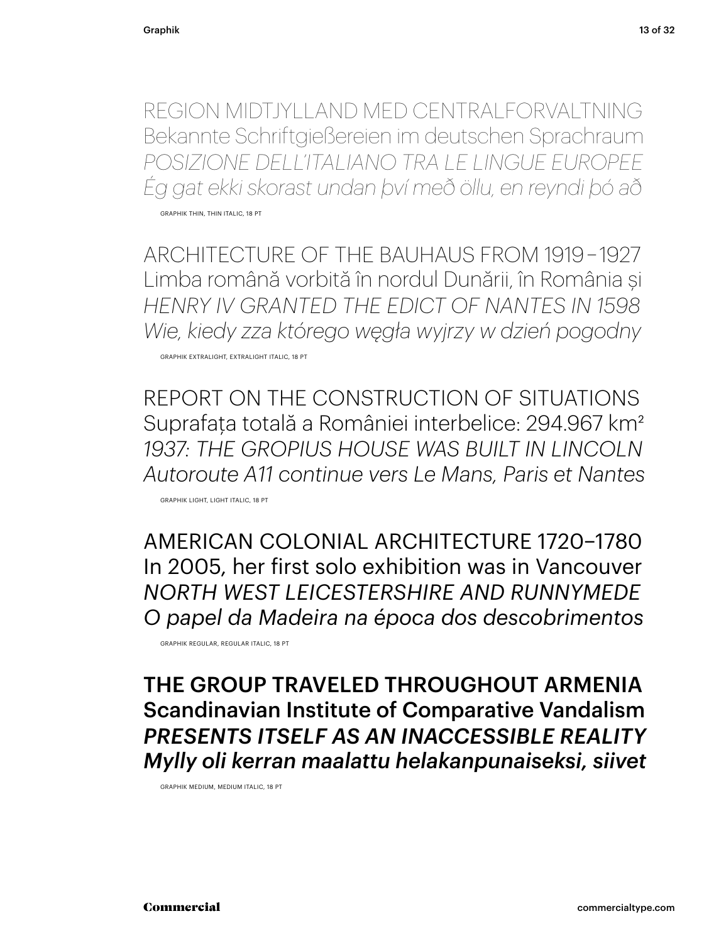REGION MIDTJYLLAND MED CENTRALFORVALTNING Bekannte Schriftgießereien im deutschen Sprachraum *POSIZIONE DELL'ITALIANO TRA LE LINGUE EUROPEE Ég gat ekki skorast undan því með öllu, en reyndi þó að*

GRAPHIK THIN, THIN ITALIC, 18 PT

ARCHITECTURE OF THE BAUHAUS FROM 1919 – 1927 Limba română vorbită în nordul Dunării, în România și *HENRY IV GRANTED THE EDICT OF NANTES IN 1598 Wie, kiedy zza którego węgła wyjrzy w dzień pogodny*

GRAPHIK EXTRALIGHT, EXTRALIGHT ITALIC, 18 PT

REPORT ON THE CONSTRUCTION OF SITUATIONS Suprafaţa totală a României interbelice: 294.967 km² *1937: THE GROPIUS HOUSE WAS BUILT IN LINCOLN Autoroute A11 continue vers Le Mans, Paris et Nantes*

GRAPHIK LIGHT, LIGHT ITALIC, 18 PT

AMERICAN COLONIAL ARCHITECTURE 1720–1780 In 2005, her first solo exhibition was in Vancouver *NORTH WEST LEICESTERSHIRE AND RUNNYMEDE O papel da Madeira na época dos descobrimentos*

GRAPHIK REGULAR, REGULAR ITALIC, 18 PT

THE GROUP TRAVELED THROUGHOUT ARMENIA Scandinavian Institute of Comparative Vandalism *PRESENTS ITSELF AS AN INACCESSIBLE REALITY Mylly oli kerran maalattu helakanpunaiseksi, siivet*

GRAPHIK MEDIUM, MEDIUM ITALIC, 18 PT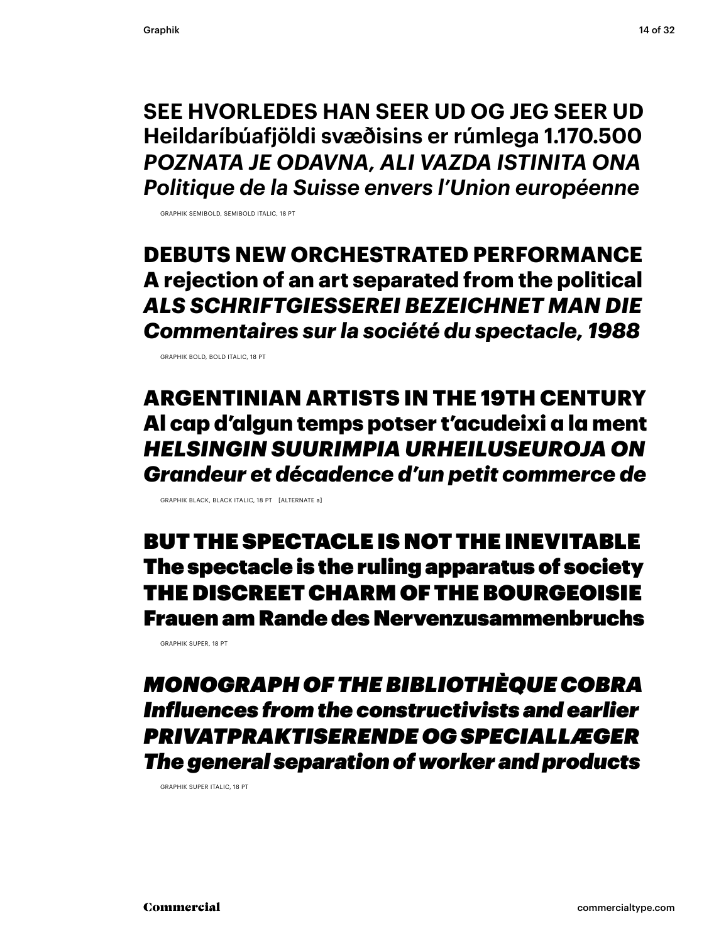**SEE HVORLEDES HAN SEER UD OG JEG SEER UD Heildaríbúafjöldi svæðisins er rúmlega 1.170.500** *POZNATA JE ODAVNA, ALI VAZDA ISTINITA ONA Politique de la Suisse envers l'Union européenne*

GRAPHIK SEMIBOLD, SEMIBOLD ITALIC, 18 PT

### **DEBUTS NEW ORCHESTRATED PERFORMANCE A rejection of an art separated from the political** *ALS SCHRIFTGIESSEREI BEZEICHNET MAN DIE Commentaires sur la société du spectacle, 1988*

GRAPHIK BOLD, BOLD ITALIC, 18 PT

ARGENTINIAN ARTISTS IN THE 19TH CENTURY Al cap d'algun temps potser t'acudeixi a la ment *HELSINGIN SUURIMPIA URHEILUSEUROJA ON Grandeur et décadence d'un petit commerce de*

GRAPHIK BLACK, BLACK ITALIC, 18 PT [ALTERNATE a]

BUT THE SPECTACLE IS NOT THE INEVITABLE The spectacle is the ruling apparatus of society THE DISCREET CHARM OF THE BOURGEOISIE Frauen am Rande des Nervenzusammenbruchs

GRAPHIK SUPER, 18 PT

*MONOGRAPH OF THE BIBLIOTHÈQUE COBRA Influences from the constructivists and earlier PRIVATPRAKTISERENDE OG SPECIALLÆGER The general separation of worker and products*

GRAPHIK SUPER ITALIC, 18 PT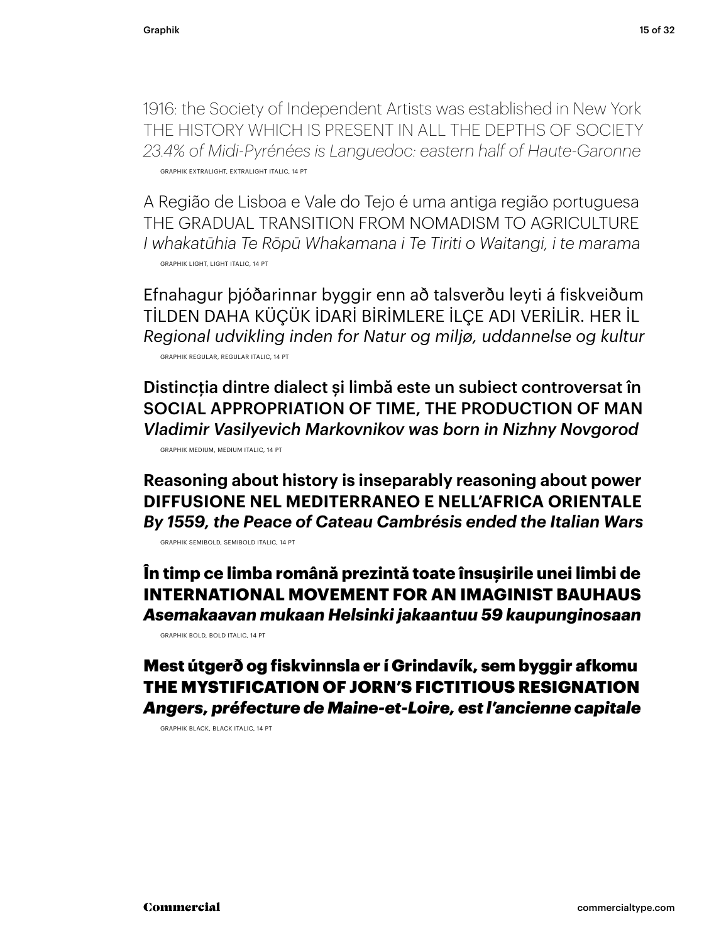1916: the Society of Independent Artists was established in New York THE HISTORY WHICH IS PRESENT IN ALL THE DEPTHS OF SOCIETY *23.4% of Midi-Pyrénées is Languedoc: eastern half of Haute-Garonne* GRAPHIK EXTRALIGHT, EXTRALIGHT ITALIC, 14 PT

A Região de Lisboa e Vale do Tejo é uma antiga região portuguesa THE GRADUAL TRANSITION FROM NOMADISM TO AGRICULTURE *I whakatūhia Te Rōpū Whakamana i Te Tiriti o Waitangi, i te marama* GRAPHIK LIGHT, LIGHT ITALIC, 14 PT

Efnahagur þjóðarinnar byggir enn að talsverðu leyti á fiskveiðum TİLDEN DAHA KÜÇÜK İDARİ BİRİMLERE İLÇE ADI VERİLİR. HER İL *Regional udvikling inden for Natur og miljø, uddannelse og kultur* GRAPHIK REGULAR, REGULAR ITALIC, 14 PT

Distincţia dintre dialect și limbă este un subiect controversat în SOCIAL APPROPRIATION OF TIME, THE PRODUCTION OF MAN *Vladimir Vasilyevich Markovnikov was born in Nizhny Novgorod* GRAPHIK MEDIUM, MEDIUM ITALIC, 14 PT

**Reasoning about history is inseparably reasoning about power DIFFUSIONE NEL MEDITERRANEO E NELL'AFRICA ORIENTALE** *By 1559, the Peace of Cateau Cambrésis ended the Italian Wars*

GRAPHIK SEMIBOLD, SEMIBOLD ITALIC, 14 PT

**În timp ce limba română prezintă toate însușirile unei limbi de INTERNATIONAL MOVEMENT FOR AN IMAGINIST BAUHAUS**  *Asemakaavan mukaan Helsinki jakaantuu 59 kaupunginosaan*

GRAPHIK BOLD, BOLD ITALIC, 14 PT

Mest útgerð og fiskvinnsla er í Grindavík, sem byggir afkomu THE MYSTIFICATION OF JORN'S FICTITIOUS RESIGNATION *Angers, préfecture de Maine-et-Loire, est l'ancienne capitale*

GRAPHIK BLACK, BLACK ITALIC, 14 PT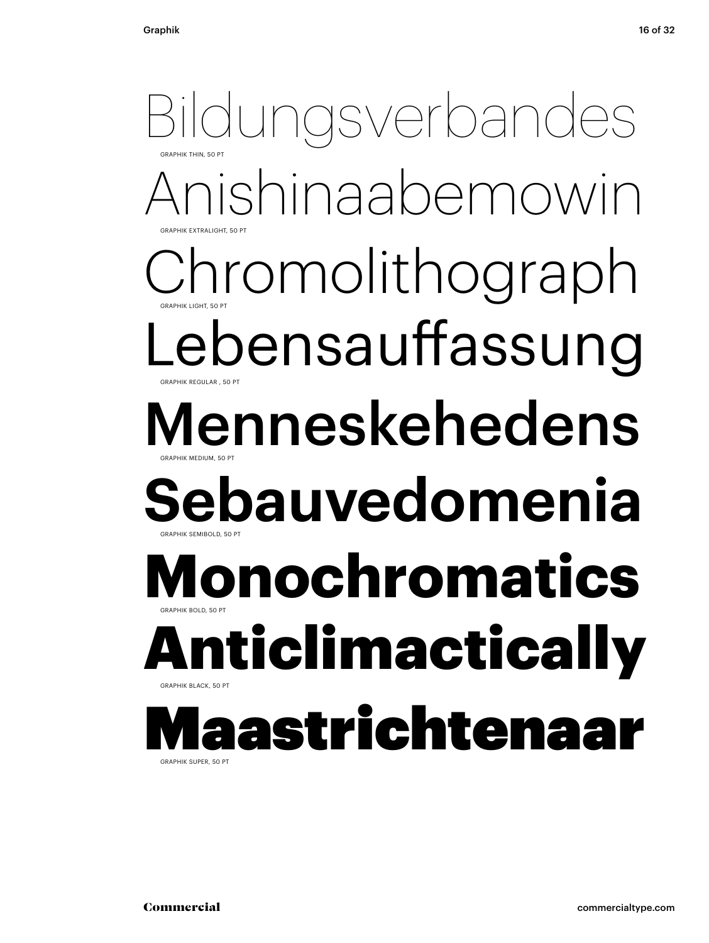Bildungsverbandes GRAPHIK EXTRALIGHT, 50 PT GRAPHIK THIN, 50 F shinaabemowin Chromolithograph GRAPHIK REGULAR , 50 PT GRAPHIK LIGHT, 50 P ebensauffassung Menneskehedens **GRAPHIK SEMIBOLD, 50 PT** GRAPHIK MEDIUM, 50 PT **Sebauvedomenia Monochromatics** GRAPHIK BLACK, 50 PT GRAPHIK BOLD, 50 PT ticlimactical **Maastrichtenaa**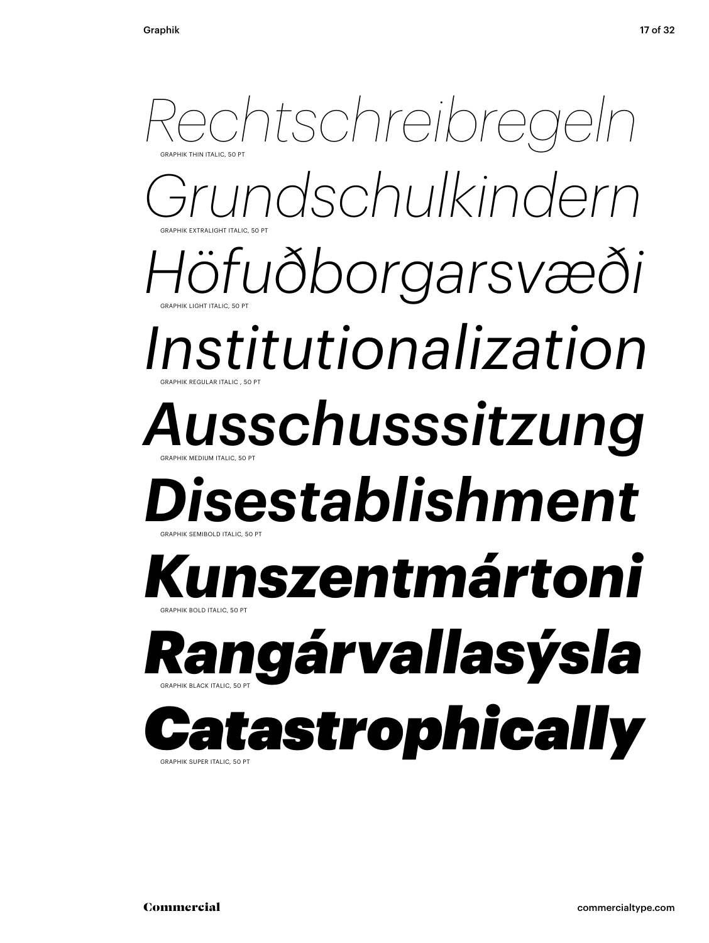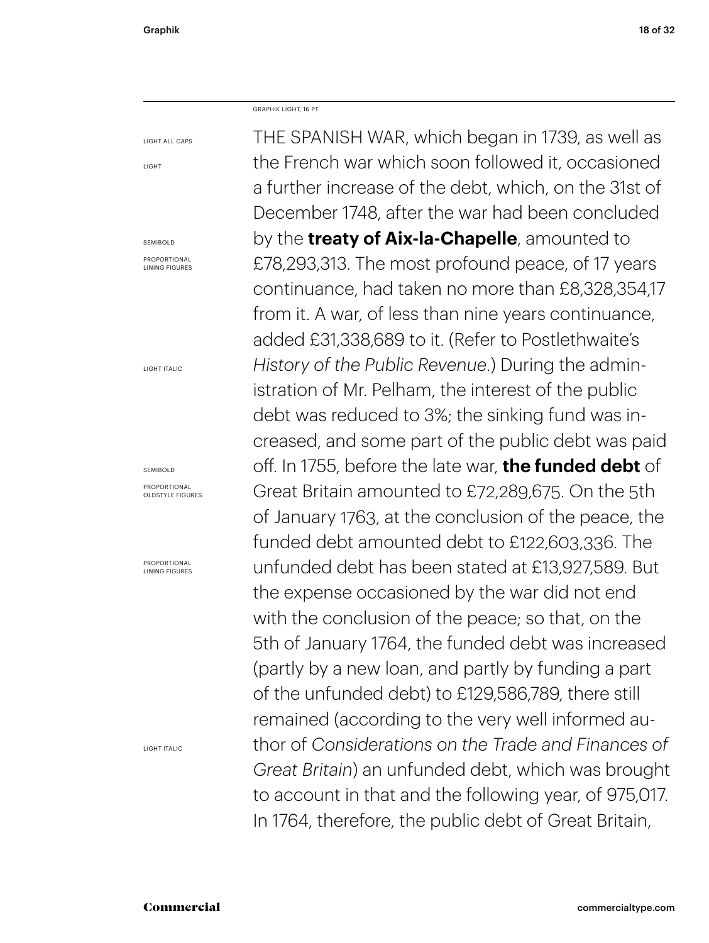GRAPHIK LIGHT, 16 PT

LIGHT

LIGHT ALL CAPS

SEMIBOLD

PROPORTIONAL LINING FIGURES

LIGHT ITALIC

### SEMIROLD

PROPORTIONAL OLDSTYLE FIGURES

PROPORTIONAL LINING FIGURES

LIGHT ITALIC

THE SPANISH WAR, which began in 1739, as well as the French war which soon followed it, occasioned a further increase of the debt, which, on the 31st of December 1748, after the war had been concluded by the **treaty of Aix-la-Chapelle**, amounted to £78,293,313. The most profound peace, of 17 years continuance, had taken no more than £8,328,354,17 from it. A war, of less than nine years continuance, added £31,338,689 to it. (Refer to Postlethwaite's *History of the Public Revenue*.) During the administration of Mr. Pelham, the interest of the public debt was reduced to 3%; the sinking fund was increased, and some part of the public debt was paid off. In 1755, before the late war, **the funded debt** of Great Britain amounted to £72,289,675. On the 5th of January 1763, at the conclusion of the peace, the funded debt amounted debt to £122,603,336. The unfunded debt has been stated at £13,927,589. But the expense occasioned by the war did not end with the conclusion of the peace; so that, on the 5th of January 1764, the funded debt was increased (partly by a new loan, and partly by funding a part of the unfunded debt) to £129,586,789, there still remained (according to the very well informed author of *Considerations on the Trade and Finances of Great Britain*) an unfunded debt, which was brought to account in that and the following year, of 975,017. In 1764, therefore, the public debt of Great Britain,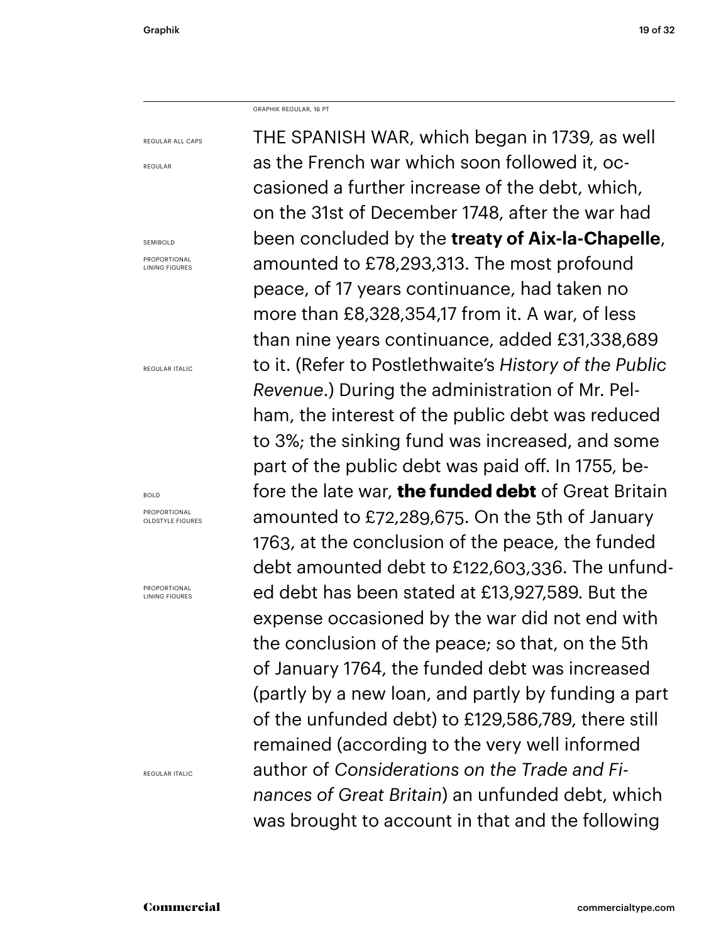GRAPHIK REGULAR, 16 PT

REGULAR ALL CAPS

REGULAR

SEMIBOLD

PROPORTIONAL LINING FIGURES

REGULAR ITALIC

### BOLD

PROPORTIONAL OLDSTYLE FIGURES

PROPORTIONAL LINING FIGURES

REGULAR ITALIC

THE SPANISH WAR, which began in 1739, as well as the French war which soon followed it, occasioned a further increase of the debt, which, on the 31st of December 1748, after the war had been concluded by the **treaty of Aix-la-Chapelle**, amounted to £78,293,313. The most profound peace, of 17 years continuance, had taken no more than £8,328,354,17 from it. A war, of less than nine years continuance, added £31,338,689 to it. (Refer to Postlethwaite's *History of the Public Revenue*.) During the administration of Mr. Pelham, the interest of the public debt was reduced to 3%; the sinking fund was increased, and some part of the public debt was paid off. In 1755, before the late war, **the funded debt** of Great Britain amounted to £72,289,675. On the 5th of January 1763, at the conclusion of the peace, the funded debt amounted debt to £122,603,336. The unfunded debt has been stated at £13,927,589. But the expense occasioned by the war did not end with the conclusion of the peace; so that, on the 5th of January 1764, the funded debt was increased (partly by a new loan, and partly by funding a part of the unfunded debt) to £129,586,789, there still remained (according to the very well informed author of *Considerations on the Trade and Finances of Great Britain*) an unfunded debt, which was brought to account in that and the following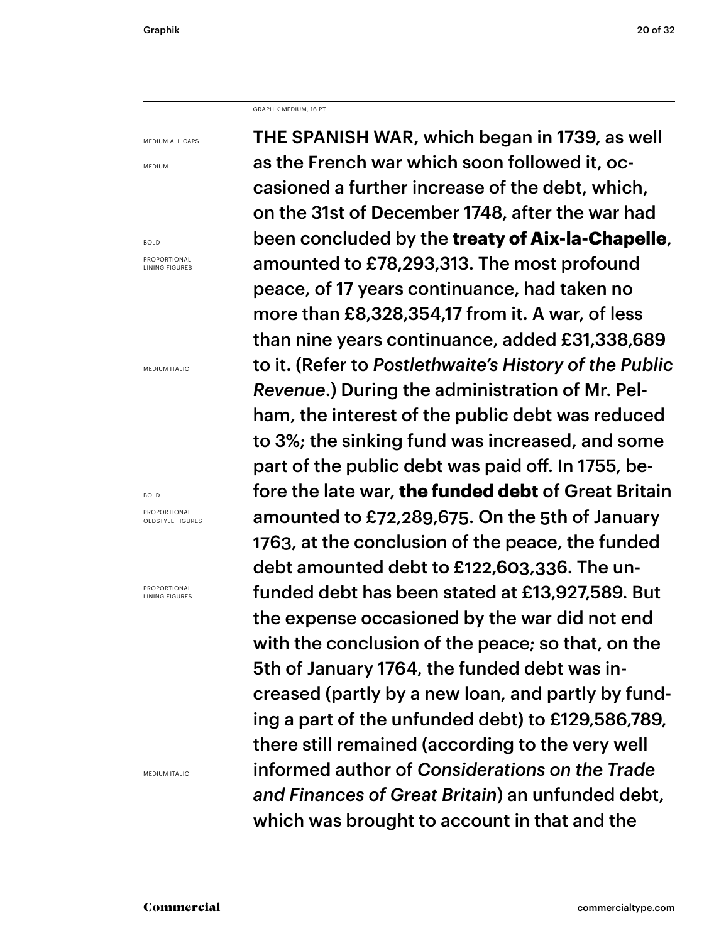GRAPHIK MEDIUM, 16 PT

MEDIUM ALL CAPS

MEDIUM

BOLD PROPORTIONAL LINING FIGURES

MEDIUM ITALIC

BOLD

PROPORTIONAL OLDSTYLE FIGURES

PROPORTIONAL LINING FIGURES

MEDIUM ITALIC

THE SPANISH WAR, which began in 1739, as well as the French war which soon followed it, occasioned a further increase of the debt, which, on the 31st of December 1748, after the war had been concluded by the **treaty of Aix-la-Chapelle**, amounted to £78,293,313. The most profound peace, of 17 years continuance, had taken no more than £8,328,354,17 from it. A war, of less than nine years continuance, added £31,338,689 to it. (Refer to *Postlethwaite's History of the Public Revenue*.) During the administration of Mr. Pelham, the interest of the public debt was reduced to 3%; the sinking fund was increased, and some part of the public debt was paid off. In 1755, before the late war, **the funded debt** of Great Britain amounted to £72,289,675. On the 5th of January 1763, at the conclusion of the peace, the funded debt amounted debt to £122,603,336. The unfunded debt has been stated at £13,927,589. But the expense occasioned by the war did not end with the conclusion of the peace; so that, on the 5th of January 1764, the funded debt was increased (partly by a new loan, and partly by funding a part of the unfunded debt) to £129,586,789, there still remained (according to the very well informed author of *Considerations on the Trade and Finances of Great Britain*) an unfunded debt, which was brought to account in that and the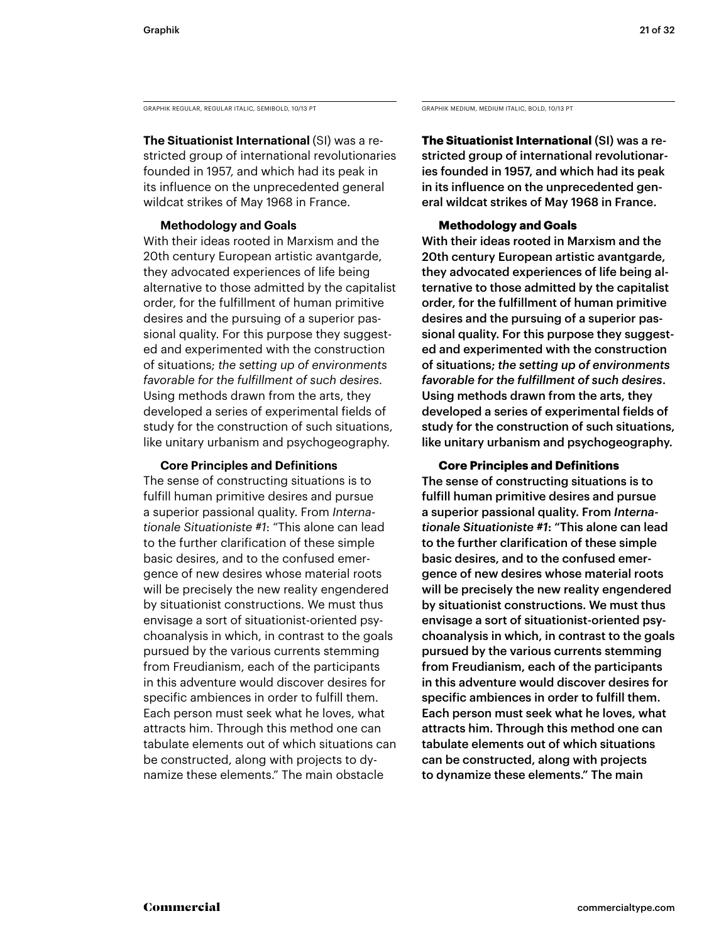GRAPHIK REGULAR, REGULAR ITALIC, SEMIBOLD, 10/13 PT GRAPHIK MEDIUM, MEDIUM, MEDIUM ITALIC, BOLD, 10/13 PT

**The Situationist International** (SI) was a restricted group of international revolutionaries founded in 1957, and which had its peak in its influence on the unprecedented general wildcat strikes of May 1968 in France.

### **Methodology and Goals**

With their ideas rooted in Marxism and the 20th century European artistic avantgarde, they advocated experiences of life being alternative to those admitted by the capitalist order, for the fulfillment of human primitive desires and the pursuing of a superior passional quality. For this purpose they suggested and experimented with the construction of situations; *the setting up of environments favorable for the fulfillment of such desires*. Using methods drawn from the arts, they developed a series of experimental fields of study for the construction of such situations, like unitary urbanism and psychogeography.

### **Core Principles and Definitions**

The sense of constructing situations is to fulfill human primitive desires and pursue a superior passional quality. From *Internationale Situationiste #1*: "This alone can lead to the further clarification of these simple basic desires, and to the confused emergence of new desires whose material roots will be precisely the new reality engendered by situationist constructions. We must thus envisage a sort of situationist-oriented psychoanalysis in which, in contrast to the goals pursued by the various currents stemming from Freudianism, each of the participants in this adventure would discover desires for specific ambiences in order to fulfill them. Each person must seek what he loves, what attracts him. Through this method one can tabulate elements out of which situations can be constructed, along with projects to dynamize these elements." The main obstacle

**The Situationist International** (SI) was a restricted group of international revolutionaries founded in 1957, and which had its peak in its influence on the unprecedented general wildcat strikes of May 1968 in France.

### **Methodology and Goals**

With their ideas rooted in Marxism and the 20th century European artistic avantgarde, they advocated experiences of life being alternative to those admitted by the capitalist order, for the fulfillment of human primitive desires and the pursuing of a superior passional quality. For this purpose they suggested and experimented with the construction of situations; *the setting up of environments favorable for the fulfillment of such desires*. Using methods drawn from the arts, they developed a series of experimental fields of study for the construction of such situations, like unitary urbanism and psychogeography.

### **Core Principles and Definitions**

The sense of constructing situations is to fulfill human primitive desires and pursue a superior passional quality. From *Internationale Situationiste #1*: "This alone can lead to the further clarification of these simple basic desires, and to the confused emergence of new desires whose material roots will be precisely the new reality engendered by situationist constructions. We must thus envisage a sort of situationist-oriented psychoanalysis in which, in contrast to the goals pursued by the various currents stemming from Freudianism, each of the participants in this adventure would discover desires for specific ambiences in order to fulfill them. Each person must seek what he loves, what attracts him. Through this method one can tabulate elements out of which situations can be constructed, along with projects to dynamize these elements." The main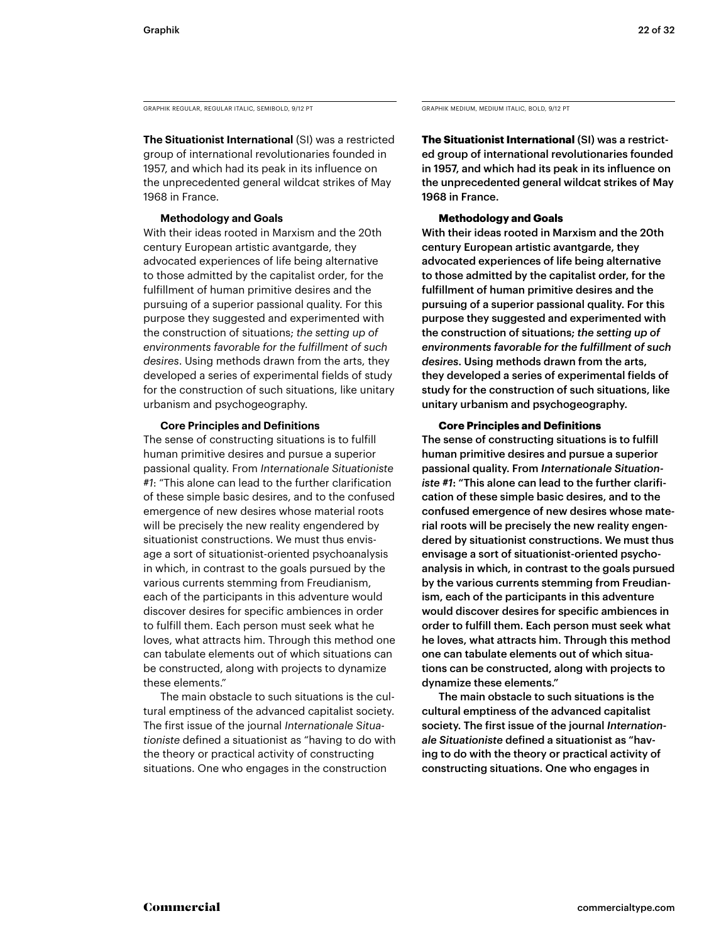GRAPHIK REGULAR, REGULAR ITALIC, SEMIBOLD, 9/12 PT

**The Situationist International** (SI) was a restricted group of international revolutionaries founded in 1957, and which had its peak in its influence on the unprecedented general wildcat strikes of May 1968 in France.

### **Methodology and Goals**

With their ideas rooted in Marxism and the 20th century European artistic avantgarde, they advocated experiences of life being alternative to those admitted by the capitalist order, for the fulfillment of human primitive desires and the pursuing of a superior passional quality. For this purpose they suggested and experimented with the construction of situations; *the setting up of environments favorable for the fulfillment of such desires*. Using methods drawn from the arts, they developed a series of experimental fields of study for the construction of such situations, like unitary urbanism and psychogeography.

### **Core Principles and Definitions**

The sense of constructing situations is to fulfill human primitive desires and pursue a superior passional quality. From *Internationale Situationiste #1*: "This alone can lead to the further clarification of these simple basic desires, and to the confused emergence of new desires whose material roots will be precisely the new reality engendered by situationist constructions. We must thus envisage a sort of situationist-oriented psychoanalysis in which, in contrast to the goals pursued by the various currents stemming from Freudianism, each of the participants in this adventure would discover desires for specific ambiences in order to fulfill them. Each person must seek what he loves, what attracts him. Through this method one can tabulate elements out of which situations can be constructed, along with projects to dynamize these elements."

 The main obstacle to such situations is the cultural emptiness of the advanced capitalist society. The first issue of the journal *Internationale Situationiste* defined a situationist as "having to do with the theory or practical activity of constructing situations. One who engages in the construction

GRAPHIK MEDIUM, MEDIUM ITALIC, BOLD, 9/12 PT

**The Situationist International** (SI) was a restricted group of international revolutionaries founded in 1957, and which had its peak in its influence on the unprecedented general wildcat strikes of May 1968 in France.

### **Methodology and Goals**

With their ideas rooted in Marxism and the 20th century European artistic avantgarde, they advocated experiences of life being alternative to those admitted by the capitalist order, for the fulfillment of human primitive desires and the pursuing of a superior passional quality. For this purpose they suggested and experimented with the construction of situations; *the setting up of environments favorable for the fulfillment of such desires*. Using methods drawn from the arts, they developed a series of experimental fields of study for the construction of such situations, like unitary urbanism and psychogeography.

### **Core Principles and Definitions**

The sense of constructing situations is to fulfill human primitive desires and pursue a superior passional quality. From *Internationale Situationiste #1*: "This alone can lead to the further clarification of these simple basic desires, and to the confused emergence of new desires whose material roots will be precisely the new reality engendered by situationist constructions. We must thus envisage a sort of situationist-oriented psychoanalysis in which, in contrast to the goals pursued by the various currents stemming from Freudianism, each of the participants in this adventure would discover desires for specific ambiences in order to fulfill them. Each person must seek what he loves, what attracts him. Through this method one can tabulate elements out of which situations can be constructed, along with projects to dynamize these elements."

 The main obstacle to such situations is the cultural emptiness of the advanced capitalist society. The first issue of the journal *Internationale Situationiste* defined a situationist as "having to do with the theory or practical activity of constructing situations. One who engages in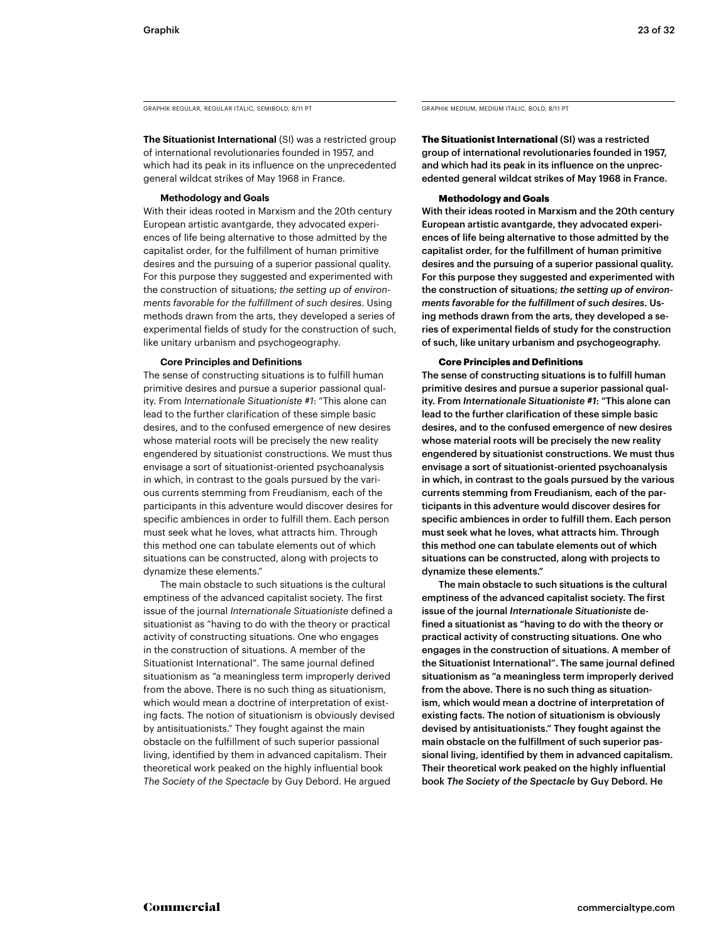GRAPHIK REGULAR, REGULAR ITALIC, SEMIBOLD, 8/11 PT

**The Situationist International** (SI) was a restricted group of international revolutionaries founded in 1957, and which had its peak in its influence on the unprecedented general wildcat strikes of May 1968 in France.

### **Methodology and Goals**

With their ideas rooted in Marxism and the 20th century European artistic avantgarde, they advocated experiences of life being alternative to those admitted by the capitalist order, for the fulfillment of human primitive desires and the pursuing of a superior passional quality. For this purpose they suggested and experimented with the construction of situations; *the setting up of environments favorable for the fulfillment of such desires*. Using methods drawn from the arts, they developed a series of experimental fields of study for the construction of such, like unitary urbanism and psychogeography.

### **Core Principles and Definitions**

The sense of constructing situations is to fulfill human primitive desires and pursue a superior passional quality. From *Internationale Situationiste #1*: "This alone can lead to the further clarification of these simple basic desires, and to the confused emergence of new desires whose material roots will be precisely the new reality engendered by situationist constructions. We must thus envisage a sort of situationist-oriented psychoanalysis in which, in contrast to the goals pursued by the various currents stemming from Freudianism, each of the participants in this adventure would discover desires for specific ambiences in order to fulfill them. Each person must seek what he loves, what attracts him. Through this method one can tabulate elements out of which situations can be constructed, along with projects to dynamize these elements."

 The main obstacle to such situations is the cultural emptiness of the advanced capitalist society. The first issue of the journal *Internationale Situationiste* defined a situationist as "having to do with the theory or practical activity of constructing situations. One who engages in the construction of situations. A member of the Situationist International". The same journal defined situationism as "a meaningless term improperly derived from the above. There is no such thing as situationism, which would mean a doctrine of interpretation of existing facts. The notion of situationism is obviously devised by antisituationists." They fought against the main obstacle on the fulfillment of such superior passional living, identified by them in advanced capitalism. Their theoretical work peaked on the highly influential book *The Society of the Spectacle* by Guy Debord. He argued

GRAPHIK MEDIUM, MEDIUM ITALIC, BOLD, 8/11 PT

**The Situationist International** (SI) was a restricted group of international revolutionaries founded in 1957, and which had its peak in its influence on the unprecedented general wildcat strikes of May 1968 in France.

### **Methodology and Goals**

With their ideas rooted in Marxism and the 20th century European artistic avantgarde, they advocated experiences of life being alternative to those admitted by the capitalist order, for the fulfillment of human primitive desires and the pursuing of a superior passional quality. For this purpose they suggested and experimented with the construction of situations; *the setting up of environments favorable for the fulfillment of such desires*. Using methods drawn from the arts, they developed a series of experimental fields of study for the construction of such, like unitary urbanism and psychogeography.

### **Core Principles and Definitions**

The sense of constructing situations is to fulfill human primitive desires and pursue a superior passional quality. From *Internationale Situationiste #1*: "This alone can lead to the further clarification of these simple basic desires, and to the confused emergence of new desires whose material roots will be precisely the new reality engendered by situationist constructions. We must thus envisage a sort of situationist-oriented psychoanalysis in which, in contrast to the goals pursued by the various currents stemming from Freudianism, each of the participants in this adventure would discover desires for specific ambiences in order to fulfill them. Each person must seek what he loves, what attracts him. Through this method one can tabulate elements out of which situations can be constructed, along with projects to dynamize these elements."

 The main obstacle to such situations is the cultural emptiness of the advanced capitalist society. The first issue of the journal *Internationale Situationiste* defined a situationist as "having to do with the theory or practical activity of constructing situations. One who engages in the construction of situations. A member of the Situationist International". The same journal defined situationism as "a meaningless term improperly derived from the above. There is no such thing as situationism, which would mean a doctrine of interpretation of existing facts. The notion of situationism is obviously devised by antisituationists." They fought against the main obstacle on the fulfillment of such superior passional living, identified by them in advanced capitalism. Their theoretical work peaked on the highly influential book *The Society of the Spectacle* by Guy Debord. He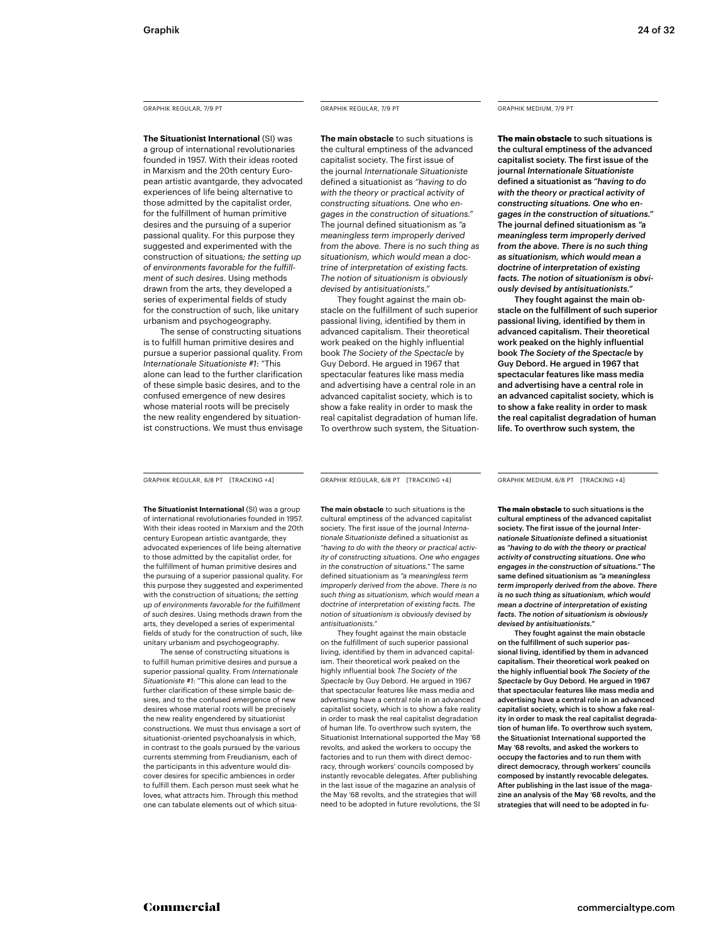**The Situationist International** (SI) was a group of international revolutionaries founded in 1957. With their ideas rooted in Marxism and the 20th century European artistic avantgarde, they advocated experiences of life being alternative to those admitted by the capitalist order, for the fulfillment of human primitive desires and the pursuing of a superior passional quality. For this purpose they suggested and experimented with the construction of situations; *the setting up of environments favorable for the fulfillment of such desires*. Using methods drawn from the arts, they developed a series of experimental fields of study for the construction of such, like unitary urbanism and psychogeography.

The sense of constructing situations is to fulfill human primitive desires and pursue a superior passional quality. From *Internationale Situationiste #1*: "This alone can lead to the further clarification of these simple basic desires, and to the confused emergence of new desires whose material roots will be precisely the new reality engendered by situationist constructions. We must thus envisage

### GRAPHIK REGULAR, 7/9 PT GRAPHIK REGULAR, 7/9 PT

**The main obstacle** to such situations is the cultural emptiness of the advanced capitalist society. The first issue of the journal *Internationale Situationiste* defined a situationist as *"having to do with the theory or practical activity of constructing situations. One who engages in the construction of situations."* The journal defined situationism as *"a meaningless term improperly derived from the above. There is no such thing as situationism, which would mean a doctrine of interpretation of existing facts. The notion of situationism is obviously devised by antisituationists."*

 They fought against the main obstacle on the fulfillment of such superior passional living, identified by them in advanced capitalism. Their theoretical work peaked on the highly influential book *The Society of the Spectacle* by Guy Debord. He argued in 1967 that spectacular features like mass media and advertising have a central role in an advanced capitalist society, which is to show a fake reality in order to mask the real capitalist degradation of human life. To overthrow such system, the Situation-

### GRAPHIK MEDIUM, 7/9 PT

**The main obstacle** to such situations is the cultural emptiness of the advanced capitalist society. The first issue of the journal *Internationale Situationiste* defined a situationist as *"having to do with the theory or practical activity of constructing situations. One who engages in the construction of situations."* The journal defined situationism as *"a meaningless term improperly derived from the above. There is no such thing as situationism, which would mean a doctrine of interpretation of existing facts. The notion of situationism is obviously devised by antisituationists."*

 They fought against the main obstacle on the fulfillment of such superior passional living, identified by them in advanced capitalism. Their theoretical work peaked on the highly influential book *The Society of the Spectacle* by Guy Debord. He argued in 1967 that spectacular features like mass media and advertising have a central role in an advanced capitalist society, which is to show a fake reality in order to mask the real capitalist degradation of human life. To overthrow such system, the

GRAPHIK REGULAR, 6/8 PT [TRACKING +4] GRAPHIK REGULAR, 6/8 PT [TRACKING +4]

**The Situationist International** (SI) was a group of international revolutionaries founded in 1957. With their ideas rooted in Marxism and the 20th century European artistic avantgarde, they advocated experiences of life being alternative to those admitted by the capitalist order, for the fulfillment of human primitive desires and the pursuing of a superior passional quality. For this purpose they suggested and experimented with the construction of situations; *the setting up of environments favorable for the fulfillment of such desires*. Using methods drawn from the arts, they developed a series of experimental fields of study for the construction of such, like unitary urbanism and psychogeography.

The sense of constructing situations is to fulfill human primitive desires and pursue a superior passional quality. From *Internationale Situationiste #1*: "This alone can lead to the further clarification of these simple basic desires, and to the confused emergence of new desires whose material roots will be precisely the new reality engendered by situationist constructions. We must thus envisage a sort of situationist-oriented psychoanalysis in which, in contrast to the goals pursued by the various currents stemming from Freudianism, each of the participants in this adventure would discover desires for specific ambiences in order to fulfill them. Each person must seek what he loves, what attracts him. Through this method one can tabulate elements out of which situa-

**The main obstacle** to such situations is the cultural emptiness of the advanced capitalist society. The first issue of the journal *Internationale Situationiste* defined a situationist as *"having to do with the theory or practical activity of constructing situations. One who engages in the construction of situations."* The same defined situationism as *"a meaningless term improperly derived from the above. There is no such thing as situationism, which would mean a doctrine of interpretation of existing facts. The notion of situationism is obviously devised by antisituationists."*

 They fought against the main obstacle on the fulfillment of such superior passional living, identified by them in advanced capitalism. Their theoretical work peaked on the highly influential book *The Society of the Spectacle* by Guy Debord. He argued in 1967 that spectacular features like mass media and advertising have a central role in an advanced capitalist society, which is to show a fake reality in order to mask the real capitalist degradation of human life. To overthrow such system, the Situationist International supported the May '68 revolts, and asked the workers to occupy the factories and to run them with direct democracy, through workers' councils composed by instantly revocable delegates. After publishing in the last issue of the magazine an analysis of the May '68 revolts, and the strategies that will need to be adopted in future revolutions, the SI

GRAPHIK MEDIUM, 6/8 PT [TRACKING +4]

**The main obstacle** to such situations is the cultural emptiness of the advanced capitalist society. The first issue of the journal *Internationale Situationiste* defined a situationist as *"having to do with the theory or practical activity of constructing situations. One who engages in the construction of situations."* The same defined situationism as *"a meaningless term improperly derived from the above. There is no such thing as situationism, which would mean a doctrine of interpretation of existing facts. The notion of situationism is obviously devised by antisituationists."*

 They fought against the main obstacle on the fulfillment of such superior passional living, identified by them in advanced capitalism. Their theoretical work peaked on the highly influential book *The Society of the Spectacle* by Guy Debord. He argued in 1967 that spectacular features like mass media and advertising have a central role in an advanced capitalist society, which is to show a fake reality in order to mask the real capitalist degradation of human life. To overthrow such system, the Situationist International supported the May '68 revolts, and asked the workers to occupy the factories and to run them with direct democracy, through workers' councils composed by instantly revocable delegates. After publishing in the last issue of the magazine an analysis of the May '68 revolts, and the strategies that will need to be adopted in fu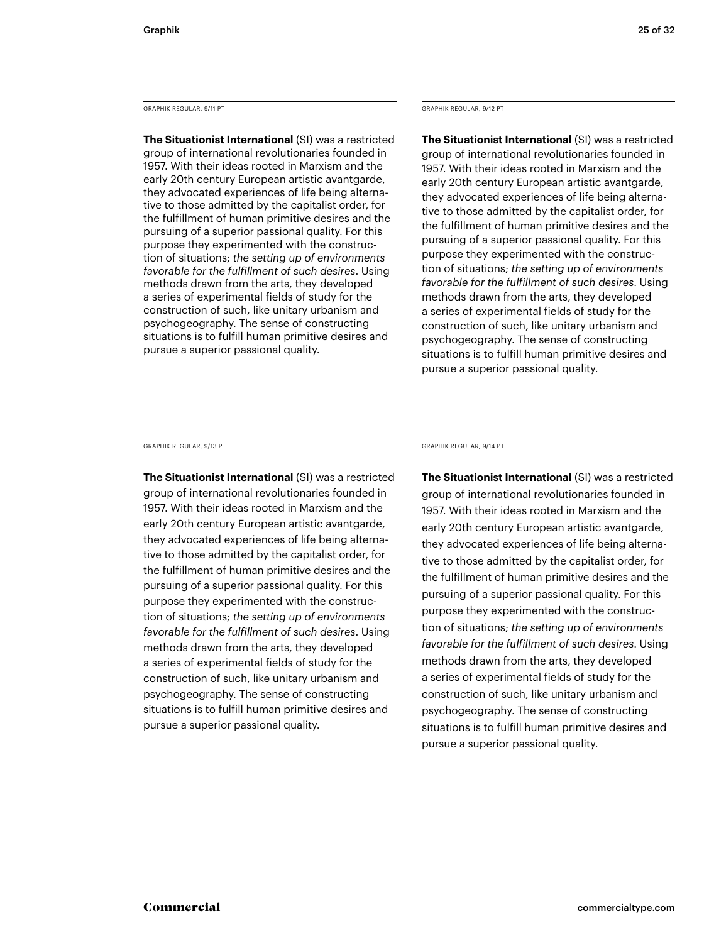GRAPHIK REGULAR, 9/11 PT

**The Situationist International** (SI) was a restricted group of international revolutionaries founded in 1957. With their ideas rooted in Marxism and the early 20th century European artistic avantgarde, they advocated experiences of life being alternative to those admitted by the capitalist order, for the fulfillment of human primitive desires and the pursuing of a superior passional quality. For this purpose they experimented with the construction of situations; *the setting up of environments favorable for the fulfillment of such desires*. Using methods drawn from the arts, they developed a series of experimental fields of study for the construction of such, like unitary urbanism and psychogeography. The sense of constructing situations is to fulfill human primitive desires and pursue a superior passional quality.

### GRAPHIK REGULAR, 9/12 PT

**The Situationist International** (SI) was a restricted group of international revolutionaries founded in 1957. With their ideas rooted in Marxism and the early 20th century European artistic avantgarde, they advocated experiences of life being alternative to those admitted by the capitalist order, for the fulfillment of human primitive desires and the pursuing of a superior passional quality. For this purpose they experimented with the construction of situations; *the setting up of environments favorable for the fulfillment of such desires*. Using methods drawn from the arts, they developed a series of experimental fields of study for the construction of such, like unitary urbanism and psychogeography. The sense of constructing situations is to fulfill human primitive desires and pursue a superior passional quality.

GRAPHIK REGULAR, 9/13 PT

**The Situationist International** (SI) was a restricted group of international revolutionaries founded in 1957. With their ideas rooted in Marxism and the early 20th century European artistic avantgarde, they advocated experiences of life being alternative to those admitted by the capitalist order, for the fulfillment of human primitive desires and the pursuing of a superior passional quality. For this purpose they experimented with the construction of situations; *the setting up of environments favorable for the fulfillment of such desires*. Using methods drawn from the arts, they developed a series of experimental fields of study for the construction of such, like unitary urbanism and psychogeography. The sense of constructing situations is to fulfill human primitive desires and pursue a superior passional quality.

GRAPHIK REGULAR, 9/14 PT

**The Situationist International** (SI) was a restricted group of international revolutionaries founded in 1957. With their ideas rooted in Marxism and the early 20th century European artistic avantgarde, they advocated experiences of life being alternative to those admitted by the capitalist order, for the fulfillment of human primitive desires and the pursuing of a superior passional quality. For this purpose they experimented with the construction of situations; *the setting up of environments favorable for the fulfillment of such desires*. Using methods drawn from the arts, they developed a series of experimental fields of study for the construction of such, like unitary urbanism and psychogeography. The sense of constructing situations is to fulfill human primitive desires and pursue a superior passional quality.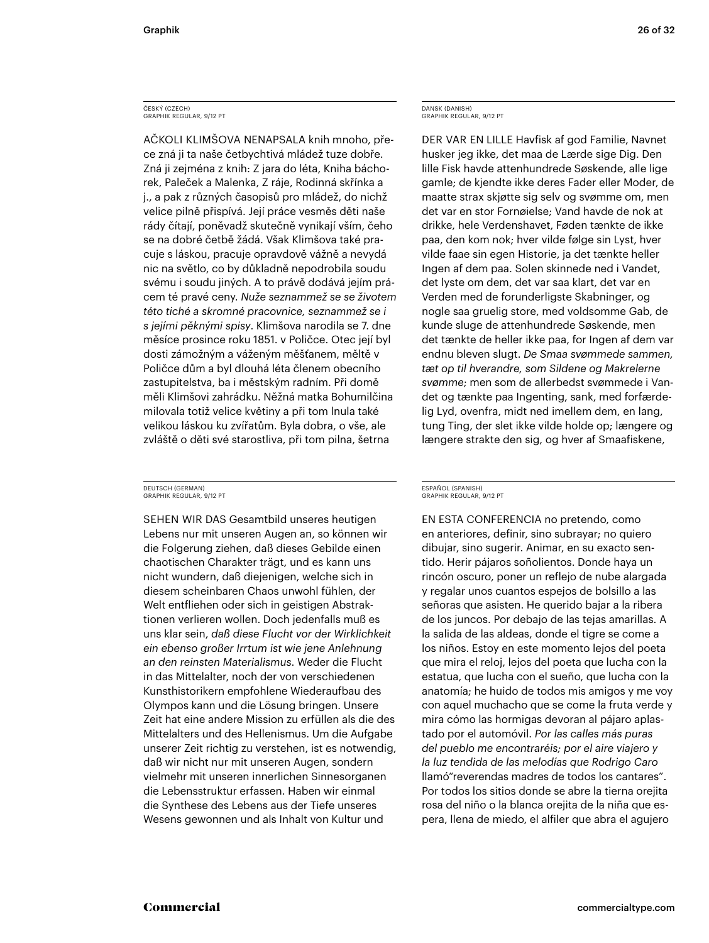### ČESKÝ (CZECH)<br>GRAPHIK REGULAR, 9/12 PT

AČKOLI KLIMŠOVA NENAPSALA knih mnoho, přece zná ji ta naše četbychtivá mládež tuze dobře. Zná ji zejména z knih: Z jara do léta, Kniha báchorek, Paleček a Malenka, Z ráje, Rodinná skřínka a j., a pak z různých časopisů pro mládež, do nichž velice pilně přispívá. Její práce vesměs děti naše rády čítají, poněvadž skutečně vynikají vším, čeho se na dobré četbě žádá. Však Klimšova také pracuje s láskou, pracuje opravdově vážně a nevydá nic na světlo, co by důkladně nepodrobila soudu svému i soudu jiných. A to právě dodává jejím prácem té pravé ceny. *Nuže seznammež se se životem této tiché a skromné pracovnice, seznammež se i s jejími pěknými spisy*. Klimšova narodila se 7. dne měsíce prosince roku 1851. v Poličce. Otec její byl dosti zámožným a váženým měšťanem, měltě v Poličce dům a byl dlouhá léta členem obecního zastupitelstva, ba i městským radním. Při domě měli Klimšovi zahrádku. Něžná matka Bohumilčina milovala totiž velice květiny a při tom lnula také velikou láskou ku zvířatům. Byla dobra, o vše, ale zvláště o děti své starostliva, při tom pilna, šetrna

### DEUTSCH (GERMAN) GRAPHIK REGULAR, 9/12 PT

SEHEN WIR DAS Gesamtbild unseres heutigen Lebens nur mit unseren Augen an, so können wir die Folgerung ziehen, daß dieses Gebilde einen chaotischen Charakter trägt, und es kann uns nicht wundern, daß diejenigen, welche sich in diesem scheinbaren Chaos unwohl fühlen, der Welt entfliehen oder sich in geistigen Abstraktionen verlieren wollen. Doch jedenfalls muß es uns klar sein, *daß diese Flucht vor der Wirklichkeit ein ebenso großer Irrtum ist wie jene Anlehnung an den reinsten Materialismus*. Weder die Flucht in das Mittelalter, noch der von verschiedenen Kunsthistorikern empfohlene Wiederaufbau des Olympos kann und die Lösung bringen. Unsere Zeit hat eine andere Mission zu erfüllen als die des Mittelalters und des Hellenismus. Um die Aufgabe unserer Zeit richtig zu verstehen, ist es notwendig, daß wir nicht nur mit unseren Augen, sondern vielmehr mit unseren innerlichen Sinnesorganen die Lebensstruktur erfassen. Haben wir einmal die Synthese des Lebens aus der Tiefe unseres Wesens gewonnen und als Inhalt von Kultur und

### DANSK (DANISH) GRAPHIK REGULAR, 9/12 PT

DER VAR EN LILLE Havfisk af god Familie, Navnet husker jeg ikke, det maa de Lærde sige Dig. Den lille Fisk havde attenhundrede Søskende, alle lige gamle; de kjendte ikke deres Fader eller Moder, de maatte strax skjøtte sig selv og svømme om, men det var en stor Fornøielse; Vand havde de nok at drikke, hele Verdenshavet, Føden tænkte de ikke paa, den kom nok; hver vilde følge sin Lyst, hver vilde faae sin egen Historie, ja det tænkte heller Ingen af dem paa. Solen skinnede ned i Vandet, det lyste om dem, det var saa klart, det var en Verden med de forunderligste Skabninger, og nogle saa gruelig store, med voldsomme Gab, de kunde sluge de attenhundrede Søskende, men det tænkte de heller ikke paa, for Ingen af dem var endnu bleven slugt. *De Smaa svømmede sammen, tæt op til hverandre, som Sildene og Makrelerne svømme*; men som de allerbedst svømmede i Vandet og tænkte paa Ingenting, sank, med forfærdelig Lyd, ovenfra, midt ned imellem dem, en lang, tung Ting, der slet ikke vilde holde op; længere og længere strakte den sig, og hver af Smaafiskene,

### ESPAÑOL (SPANISH) GRAPHIK REGULAR, 9/12 PT

EN ESTA CONFERENCIA no pretendo, como en anteriores, definir, sino subrayar; no quiero dibujar, sino sugerir. Animar, en su exacto sentido. Herir pájaros soñolientos. Donde haya un rincón oscuro, poner un reflejo de nube alargada y regalar unos cuantos espejos de bolsillo a las señoras que asisten. He querido bajar a la ribera de los juncos. Por debajo de las tejas amarillas. A la salida de las aldeas, donde el tigre se come a los niños. Estoy en este momento lejos del poeta que mira el reloj, lejos del poeta que lucha con la estatua, que lucha con el sueño, que lucha con la anatomía; he huido de todos mis amigos y me voy con aquel muchacho que se come la fruta verde y mira cómo las hormigas devoran al pájaro aplastado por el automóvil. *Por las calles más puras del pueblo me encontraréis; por el aire viajero y la luz tendida de las melodías que Rodrigo Caro* llamó"reverendas madres de todos los cantares". Por todos los sitios donde se abre la tierna orejita rosa del niño o la blanca orejita de la niña que espera, llena de miedo, el alfiler que abra el agujero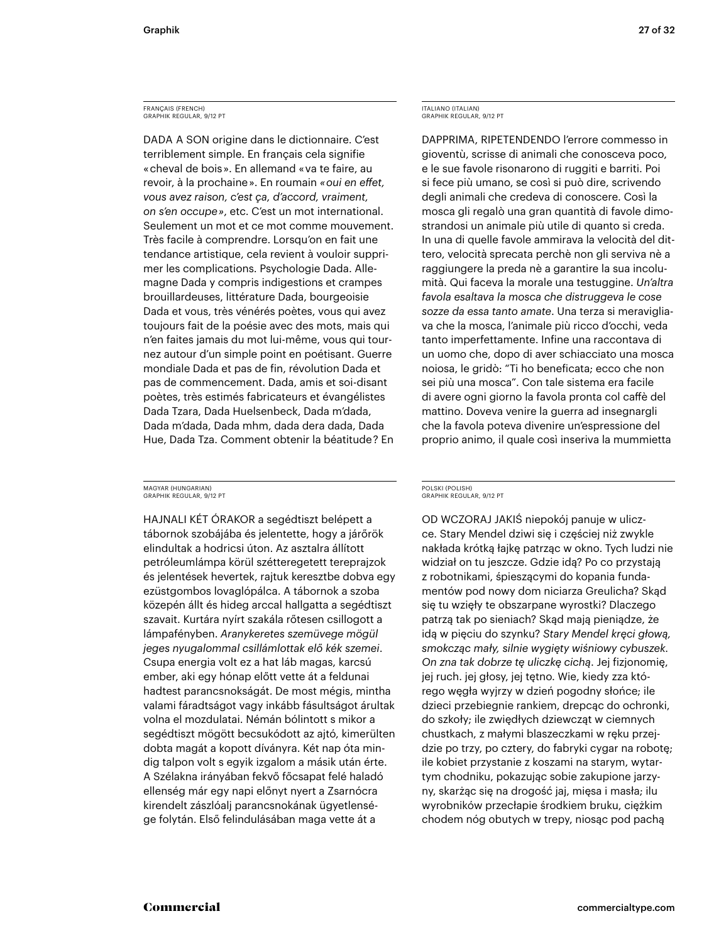### FRANÇAIS (FRENCH) GRAPHIK REGULAR, 9/12 PT

DADA A SON origine dans le dictionnaire. C'est terriblement simple. En français cela signifie « cheval de bois ». En allemand « va te faire, au revoir, à la prochaine ». En roumain «*oui en effet*, *vous avez raison, c'est ça, d'accord, vraiment, on s'en occupe »*, etc. C'est un mot international. Seulement un mot et ce mot comme mouvement. Très facile à comprendre. Lorsqu'on en fait une tendance artistique, cela revient à vouloir supprimer les complications. Psychologie Dada. Allemagne Dada y compris indigestions et crampes brouillardeuses, littérature Dada, bourgeoisie Dada et vous, très vénérés poètes, vous qui avez toujours fait de la poésie avec des mots, mais qui n'en faites jamais du mot lui-même, vous qui tournez autour d'un simple point en poétisant. Guerre mondiale Dada et pas de fin, révolution Dada et pas de commencement. Dada, amis et soi-disant poètes, très estimés fabricateurs et évangélistes Dada Tzara, Dada Huelsenbeck, Dada m'dada, Dada m'dada, Dada mhm, dada dera dada, Dada Hue, Dada Tza. Comment obtenir la béatitude ? En

### MAGYAR (HUNGARIAN) GRAPHIK REGULAR, 9/12 PT

HAJNALI KÉT ÓRAKOR a segédtiszt belépett a tábornok szobájába és jelentette, hogy a járőrök elindultak a hodricsi úton. Az asztalra állított petróleumlámpa körül szétteregetett tereprajzok és jelentések hevertek, rajtuk keresztbe dobva egy ezüstgombos lovaglópálca. A tábornok a szoba közepén állt és hideg arccal hallgatta a segédtiszt szavait. Kurtára nyírt szakála rőtesen csillogott a lámpafényben. *Aranykeretes szemüvege mögül jeges nyugalommal csillámlottak elő kék szemei*. Csupa energia volt ez a hat láb magas, karcsú ember, aki egy hónap előtt vette át a feldunai hadtest parancsnokságát. De most mégis, mintha valami fáradtságot vagy inkább fásultságot árultak volna el mozdulatai. Némán bólintott s mikor a segédtiszt mögött becsukódott az ajtó, kimerülten dobta magát a kopott díványra. Két nap óta mindig talpon volt s egyik izgalom a másik után érte. A Szélakna irányában fekvő főcsapat felé haladó ellenség már egy napi előnyt nyert a Zsarnócra kirendelt zászlóalj parancsnokának ügyetlensége folytán. Első felindulásában maga vette át a

### ITALIANO (ITALIAN) GRAPHIK REGULAR, 9/12 PT

DAPPRIMA, RIPETENDENDO l'errore commesso in gioventù, scrisse di animali che conosceva poco, e le sue favole risonarono di ruggiti e barriti. Poi si fece più umano, se così si può dire, scrivendo degli animali che credeva di conoscere. Così la mosca gli regalò una gran quantità di favole dimostrandosi un animale più utile di quanto si creda. In una di quelle favole ammirava la velocità del dittero, velocità sprecata perchè non gli serviva nè a raggiungere la preda nè a garantire la sua incolumità. Qui faceva la morale una testuggine. *Un'altra favola esaltava la mosca che distruggeva le cose sozze da essa tanto amate*. Una terza si meravigliava che la mosca, l'animale più ricco d'occhi, veda tanto imperfettamente. Infine una raccontava di un uomo che, dopo di aver schiacciato una mosca noiosa, le gridò: "Ti ho beneficata; ecco che non sei più una mosca". Con tale sistema era facile di avere ogni giorno la favola pronta col caffè del mattino. Doveva venire la guerra ad insegnargli che la favola poteva divenire un'espressione del proprio animo, il quale così inseriva la mummietta

### POLSKI (POLISH) GRAPHIK REGULAR, 9/12 PT

OD WCZORAJ JAKIŚ niepokój panuje w uliczce. Stary Mendel dziwi się i częściej niż zwykle nakłada krótką łajkę patrząc w okno. Tych ludzi nie widział on tu jeszcze. Gdzie idą? Po co przystają z robotnikami, śpieszącymi do kopania fundamentów pod nowy dom niciarza Greulicha? Skąd się tu wzięły te obszarpane wyrostki? Dlaczego patrzą tak po sieniach? Skąd mają pieniądze, że idą w pięciu do szynku? *Stary Mendel kręci głową, smokcząc mały, silnie wygięty wiśniowy cybuszek. On zna tak dobrze tę uliczkę cichą*. Jej fizjonomię, jej ruch. jej głosy, jej tętno. Wie, kiedy zza którego węgła wyjrzy w dzień pogodny słońce; ile dzieci przebiegnie rankiem, drepcąc do ochronki, do szkoły; ile zwiędłych dziewcząt w ciemnych chustkach, z małymi blaszeczkami w ręku przejdzie po trzy, po cztery, do fabryki cygar na robotę; ile kobiet przystanie z koszami na starym, wytartym chodniku, pokazując sobie zakupione jarzyny, skarżąc się na drogość jaj, mięsa i masła; ilu wyrobników przecłapie środkiem bruku, ciężkim chodem nóg obutych w trepy, niosąc pod pachą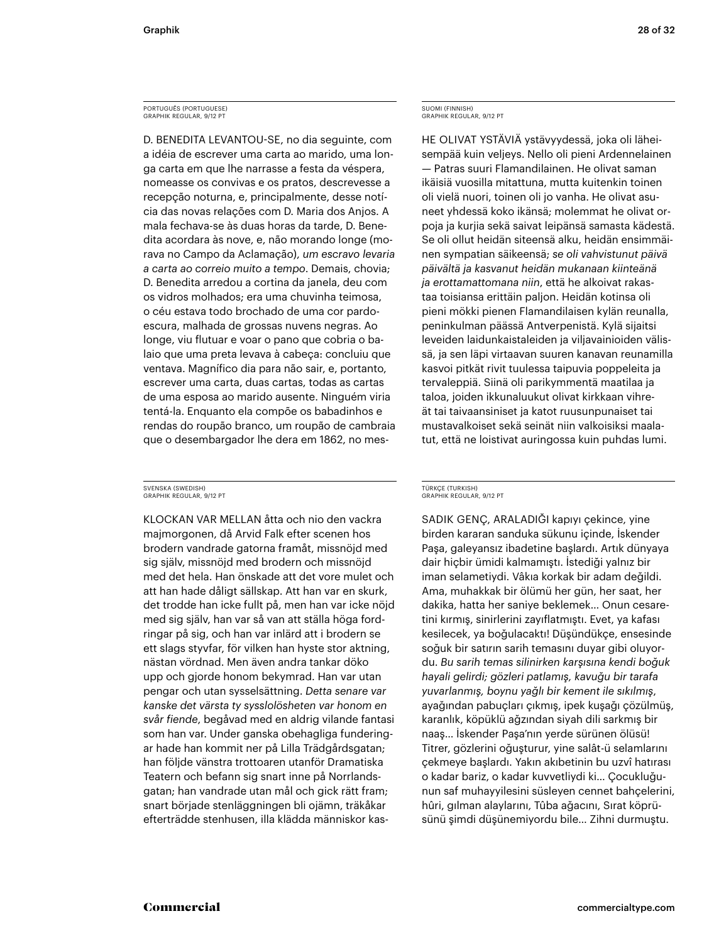### PORTUGUÊS (PORTUGUESE) GRAPHIK REGULAR, 9/12 PT

D. BENEDITA LEVANTOU-SE, no dia seguinte, com a idéia de escrever uma carta ao marido, uma longa carta em que lhe narrasse a festa da véspera, nomeasse os convivas e os pratos, descrevesse a recepção noturna, e, principalmente, desse notícia das novas relações com D. Maria dos Anjos. A mala fechava-se às duas horas da tarde, D. Benedita acordara às nove, e, não morando longe (morava no Campo da Aclamação), *um escravo levaria a carta ao correio muito a tempo*. Demais, chovia; D. Benedita arredou a cortina da janela, deu com os vidros molhados; era uma chuvinha teimosa, o céu estava todo brochado de uma cor pardoescura, malhada de grossas nuvens negras. Ao longe, viu flutuar e voar o pano que cobria o balaio que uma preta levava à cabeça: concluiu que ventava. Magnífico dia para não sair, e, portanto, escrever uma carta, duas cartas, todas as cartas de uma esposa ao marido ausente. Ninguém viria tentá-la. Enquanto ela compõe os babadinhos e rendas do roupão branco, um roupão de cambraia que o desembargador lhe dera em 1862, no mes-

### SVENSKA (SWEDISH) GRAPHIK REGULAR, 9/12 PT

KLOCKAN VAR MELLAN åtta och nio den vackra majmorgonen, då Arvid Falk efter scenen hos brodern vandrade gatorna framåt, missnöjd med sig själv, missnöjd med brodern och missnöjd med det hela. Han önskade att det vore mulet och att han hade dåligt sällskap. Att han var en skurk, det trodde han icke fullt på, men han var icke nöjd med sig själv, han var så van att ställa höga fordringar på sig, och han var inlärd att i brodern se ett slags styvfar, för vilken han hyste stor aktning, nästan vördnad. Men även andra tankar döko upp och gjorde honom bekymrad. Han var utan pengar och utan sysselsättning. *Detta senare var kanske det värsta ty sysslolösheten var honom en svår fiende*, begåvad med en aldrig vilande fantasi som han var. Under ganska obehagliga funderingar hade han kommit ner på Lilla Trädgårdsgatan; han följde vänstra trottoaren utanför Dramatiska Teatern och befann sig snart inne på Norrlandsgatan; han vandrade utan mål och gick rätt fram; snart började stenläggningen bli ojämn, träkåkar efterträdde stenhusen, illa klädda människor kas-

### SUOMI (FINNISH) GRAPHIK REGULAR, 9/12 PT

HE OLIVAT YSTÄVIÄ ystävyydessä, joka oli läheisempää kuin veljeys. Nello oli pieni Ardennelainen — Patras suuri Flamandilainen. He olivat saman ikäisiä vuosilla mitattuna, mutta kuitenkin toinen oli vielä nuori, toinen oli jo vanha. He olivat asuneet yhdessä koko ikänsä; molemmat he olivat orpoja ja kurjia sekä saivat leipänsä samasta kädestä. Se oli ollut heidän siteensä alku, heidän ensimmäinen sympatian säikeensä; *se oli vahvistunut päivä päivältä ja kasvanut heidän mukanaan kiinteänä ja erottamattomana niin*, että he alkoivat rakastaa toisiansa erittäin paljon. Heidän kotinsa oli pieni mökki pienen Flamandilaisen kylän reunalla, peninkulman päässä Antverpenistä. Kylä sijaitsi leveiden laidunkaistaleiden ja viljavainioiden välissä, ja sen läpi virtaavan suuren kanavan reunamilla kasvoi pitkät rivit tuulessa taipuvia poppeleita ja tervaleppiä. Siinä oli parikymmentä maatilaa ja taloa, joiden ikkunaluukut olivat kirkkaan vihreät tai taivaansiniset ja katot ruusunpunaiset tai mustavalkoiset sekä seinät niin valkoisiksi maalatut, että ne loistivat auringossa kuin puhdas lumi.

### TÜRKÇE (TURKISH) GRAPHIK REGULAR, 9/12 PT

SADIK GENÇ, ARALADIĞI kapıyı çekince, yine birden kararan sanduka sükunu içinde, İskender Paşa, galeyansız ibadetine başlardı. Artık dünyaya dair hiçbir ümidi kalmamıştı. İstediği yalnız bir iman selametiydi. Vâkıa korkak bir adam değildi. Ama, muhakkak bir ölümü her gün, her saat, her dakika, hatta her saniye beklemek... Onun cesaretini kırmış, sinirlerini zayıflatmıştı. Evet, ya kafası kesilecek, ya boğulacaktı! Düşündükçe, ensesinde soğuk bir satırın sarih temasını duyar gibi oluyordu. *Bu sar h temas s l n rken karşısına kend boğuk hayal gel rd ; gözler patlamış, kavuğu b r tarafa yuvarlanmış, boynu yağlı b r kement le sıkılmış*, ayağından pabuçları çıkmış, ipek kuşağı çözülmüş, karanlık, köpüklü ağzından siyah dili sarkmış bir naaş… İskender Paşa'nın yerde sürünen ölüsü! Titrer, gözlerini oğuşturur, yine salât-ü selamlarını çekmeye başlardı. Yakın akıbetinin bu uzvî hatırası o kadar bariz, o kadar kuvvetliydi ki... Çocukluğunun saf muhayyilesini süsleyen cennet bahçelerini, hûri, gılman alaylarını, Tûba ağacını, Sırat köprüsünü şimdi düşünemiyordu bile... Zihni durmuştu.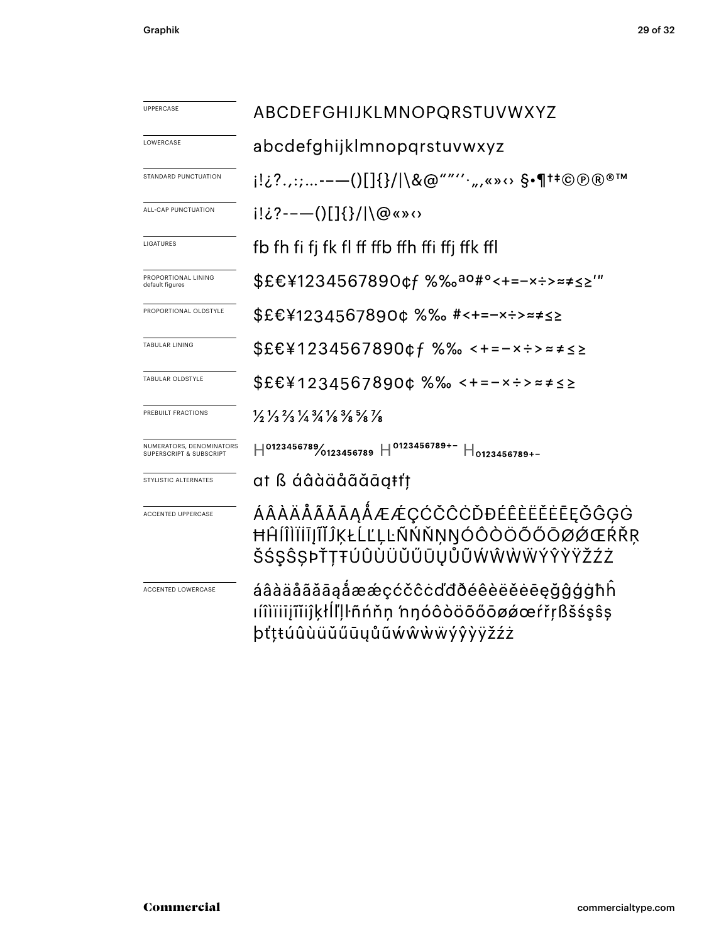| UPPERCASE                                          | ABCDEFGHIJKLMNOPQRSTUVWXYZ                                                                                                    |  |  |  |  |
|----------------------------------------------------|-------------------------------------------------------------------------------------------------------------------------------|--|--|--|--|
| LOWERCASE                                          | abcdefghijklmnopqrstuvwxyz                                                                                                    |  |  |  |  |
| STANDARD PUNCTUATION                               | i!¿?.,:;---()[]{}/ \&@""'',,,«»↔ \$•¶†‡©®®™                                                                                   |  |  |  |  |
| ALL-CAP PUNCTUATION                                |                                                                                                                               |  |  |  |  |
| LIGATURES                                          | fb fh fi fj fk fl ff ffb ffh ffi ffj ffk ffl                                                                                  |  |  |  |  |
| PROPORTIONAL LINING<br>default figures             | \$£€¥1234567890¢f %‰ <sup>ao#</sup> °<+=-×÷>≈≠≤≥'"                                                                            |  |  |  |  |
| PROPORTIONAL OLDSTYLE                              | \$£€¥1234567890¢%%。#<+=-×÷>≈≠≤≥                                                                                               |  |  |  |  |
| <b>TABULAR LINING</b>                              | \$£€¥1234567890¢f %‰ <+=-×÷>≈≠≤≥                                                                                              |  |  |  |  |
| TABULAR OLDSTYLE                                   | \$£€¥1234567890¢ %‰ <+=-×÷>≈≠≤≥                                                                                               |  |  |  |  |
| PREBUILT FRACTIONS                                 | $\frac{1}{3}$ $\frac{1}{3}$ $\frac{2}{3}$ $\frac{1}{4}$ $\frac{3}{4}$ $\frac{1}{8}$ $\frac{3}{8}$ $\frac{5}{8}$ $\frac{7}{8}$ |  |  |  |  |
| NUMERATORS, DENOMINATORS<br>UPERSCRIPT & SUBSCRIPT | $H^{0123456789}$ 0123456789 $H^{0123456789+-}$ $H_{0123456789+-}$                                                             |  |  |  |  |
| STYLISTIC ALTERNATES                               | at ß áâàäåãăāąŧťț                                                                                                             |  |  |  |  |
| ACCENTED UPPERCASE                                 | ÁÂÀÄÅÃĂĀĄÅÆÆÇĆČĈĊĎĐÉÊÈËĖĒĘĞĜĢĠ<br>ĦĤĺÎÌÏİĪJĨĬĴĶŁĹĽĻĿÑŃŇŅŊÓÔÒÖÕŐŌØØŒŔŘŖ<br>ŠŚŞŜŞÞŤŢŦÚÛÙÜŬŰŪŲŮŨŴŴŴŴÝŶŸŽŹŻ                       |  |  |  |  |
| ACCENTED LOWERCASE                                 | áâàäåãããaåææçćčĉcďđðéêèëĕėēęǧĝģģħĥ<br>ımıïijminklilllmón nnóôòöőőōøøœŕřṛßšśşŝş<br>þťṭŧúûùüŭűūųůũẃŵẁẅýŷỳÿžźż                   |  |  |  |  |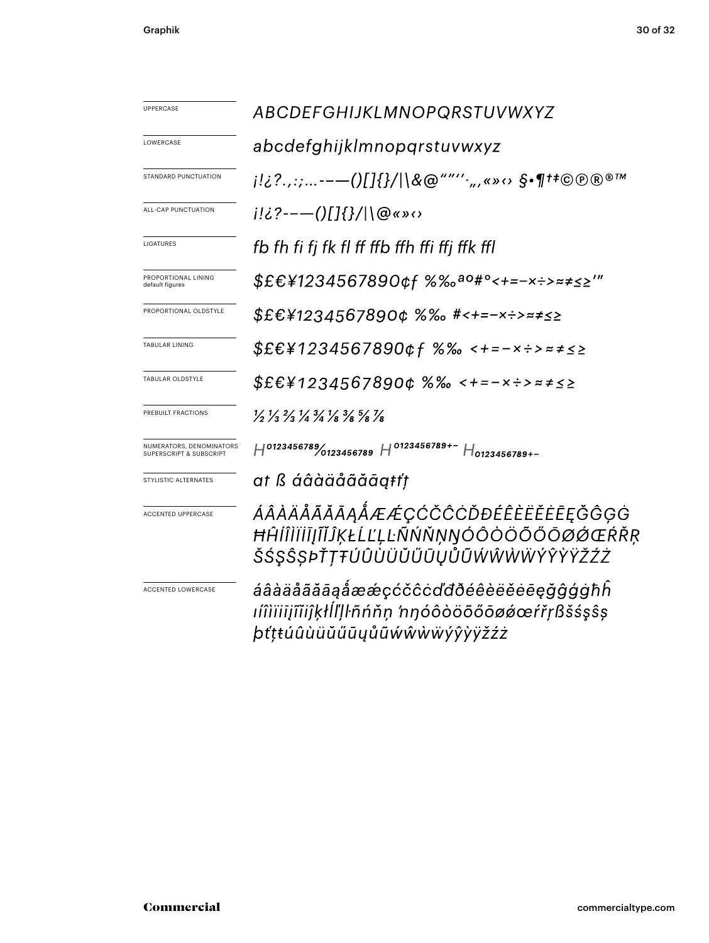| UPPERCASE                                           | ABCDEFGHIJKLMNOPQRSTUVWXYZ                                                                                                    |  |  |  |  |
|-----------------------------------------------------|-------------------------------------------------------------------------------------------------------------------------------|--|--|--|--|
| LOWERCASE                                           | abcdefghijklmnopqrstuvwxyz                                                                                                    |  |  |  |  |
| STANDARD PUNCTUATION                                | j!¿?.,:;--—()[]{}/ \&@""''·",«»⇔ §•¶†‡©®®™                                                                                    |  |  |  |  |
| ALL-CAP PUNCTUATION                                 | i!¿?--—()[]{}/ \@«»<>                                                                                                         |  |  |  |  |
| LIGATURES                                           | fb fh fi fj fk fl ff ffb ffh ffi ffj ffk ffl                                                                                  |  |  |  |  |
| PROPORTIONAL LINING<br>default figures              | \$£€¥1234567890¢f %‰ <sup>ao</sup> #°<+=-×÷>≈≠≤≥′″                                                                            |  |  |  |  |
| PROPORTIONAL OLDSTYLE                               | \$£€¥1234567890¢%% #<+=-x÷>≈≠≤≥                                                                                               |  |  |  |  |
| <b>TABULAR LINING</b>                               | \$£€¥1234567890¢f %‰ <+=-×÷>≈≠≤≥                                                                                              |  |  |  |  |
| TABULAR OLDSTYLE                                    | \$£€¥1234567890¢ %‰ <+=-×÷>≈≠≤≥                                                                                               |  |  |  |  |
| PREBUILT FRACTIONS                                  | $\frac{1}{3}$ $\frac{1}{3}$ $\frac{2}{3}$ $\frac{1}{4}$ $\frac{3}{4}$ $\frac{1}{8}$ $\frac{3}{8}$ $\frac{5}{8}$ $\frac{7}{8}$ |  |  |  |  |
| NUMERATORS, DENOMINATORS<br>SUPERSCRIPT & SUBSCRIPT | $H^{0123456789}/_{0123456789}$ H $^{0123456789+-}$ H <sub>0123456789+-</sub>                                                  |  |  |  |  |
| STYLISTIC ALTERNATES                                | at ß áâàäåãăāąŧťț                                                                                                             |  |  |  |  |
| ACCENTED UPPERCASE                                  | ÁÂÀÄÅÃĂĀĄÅÆÆÇĆČĈĊĎĐÉÊÈËĔĒĘĞĜĢĠ<br>ĦĤĺÎÌĬĬĨĮĨĬĴĶŁĹĽĻĿÑŃŇŅŊÓÔÒÖÕŐŌØØŒŔŘŖ<br>ŠŚŞŜȘÞŤŢŦÚÛÙÜŬŰŨŲŮŨŴŴŴŴÝŶŸŽŹŻ                       |  |  |  |  |
| ACCENTED LOWERCASE                                  | áâàäåãããaåææçćčĉcďđðéêèëěēęğĝģġħĥ<br>ıíîìïiijĩĭiĵķłĺľḷŀñńňṇ 'nŋóôòöõőōøǿœŕřṛßšśşŝṣ<br>þťţŧúûùüŭűūyůũẃŵẁẅýŷỳÿžźż               |  |  |  |  |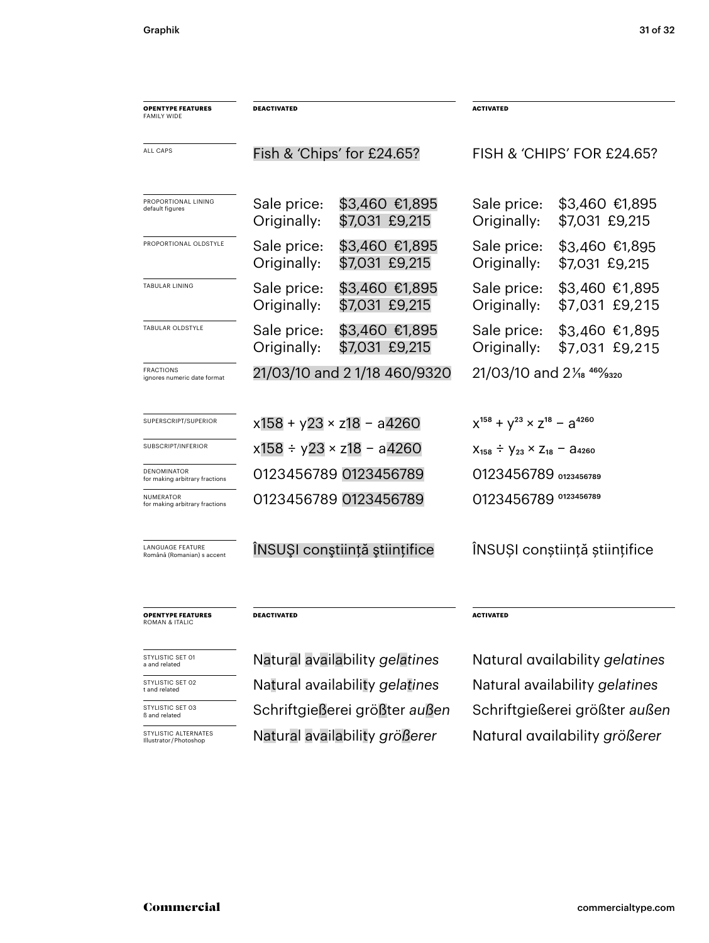| <b>OPENTYPE FEATURES</b><br><b>FAMILY WIDE</b>        | <b>DEACTIVATED</b>                 |                                  | <b>ACTIVATED</b>                                                                                                   |                                   |
|-------------------------------------------------------|------------------------------------|----------------------------------|--------------------------------------------------------------------------------------------------------------------|-----------------------------------|
| ALL CAPS                                              | Fish & 'Chips' for £24.65?         |                                  | FISH & 'CHIPS' FOR £24.65?                                                                                         |                                   |
| PROPORTIONAL LINING<br>default figures                | Sale price:<br>Originally:         | \$3,460 €1,895<br>\$7,031 £9,215 | Sale price:<br>Originally:                                                                                         | \$3,460 €1,895<br>\$7,031 £9,215  |
| PROPORTIONAL OLDSTYLE                                 | Sale price:<br>Originally:         | \$3,460 €1,895<br>\$7,031 £9,215 | Sale price:<br>Originally:                                                                                         | \$3,460 €1,895<br>\$7,031 £9,215  |
| TABULAR LINING                                        | Sale price:<br>Originally:         | \$3,460 €1,895<br>\$7,031 £9,215 | Sale price:<br>Originally:                                                                                         | $$3,460$ €1,895<br>\$7,031 £9,215 |
| TABULAR OLDSTYLE                                      | Sale price:<br>Originally:         | \$3,460 €1,895<br>\$7,031 £9,215 | Sale price:<br>Originally:                                                                                         | \$3,460 €1,895<br>\$7,031 £9,215  |
| <b>FRACTIONS</b><br>ignores numeric date format       | 21/03/10 and 2 1/18 460/9320       |                                  | 21/03/10 and 21/ <sub>8</sub> 46% 320                                                                              |                                   |
| SUPERSCRIPT/SUPERIOR                                  | $x158 + y23 \times z18 - a4260$    |                                  | $x^{158} + y^{23} \times z^{18} - a^{4260}$                                                                        |                                   |
| SUBSCRIPT/INFERIOR                                    | $x158 \div y23 \times z18 - a4260$ |                                  | $X_{158} \div Y_{23} \times Z_{18} - 24260$                                                                        |                                   |
| DENOMINATOR<br>for making arbitrary fractions         | 0123456789 0123456789              |                                  | 0123456789 0123456789                                                                                              |                                   |
| NUMERATOR<br>for making arbitrary fractions           |                                    | 0123456789 0123456789            | 0123456789 0123456789                                                                                              |                                   |
| LANGUAGE FEATURE<br>Română (Romanian) s accent        | ÎNSUȘI conștiință științifice      |                                  | ÎNSUȘI conștiință științifice                                                                                      |                                   |
| <b>OPENTYPE FEATURES</b><br><b>ROMAN &amp; ITALIC</b> | <b>DEACTIVATED</b>                 |                                  | <b>ACTIVATED</b>                                                                                                   |                                   |
| STYLISTIC SET 01<br>a and related                     | Natural availability gelatines     |                                  | Natural availability gelatines                                                                                     |                                   |
| STYLISTIC SET 02<br>t and related                     |                                    | Natural availability gelatines   | Natural availability gelatines                                                                                     |                                   |
| STYLISTIC SET 03                                      |                                    |                                  | $C_{\alpha}$ $\mu$ : $\mu$ $\mu$ $\alpha$ $\beta$ $\alpha$ $\mu$ $\alpha$ ; $\alpha$ $\mu$ $\alpha$ $\mu$ $\alpha$ |                                   |

STTLISTIC SET

**STYLISTIC ALTERNATES**<br>Illustrator/Photoshop

Natural availability größerer Natural availability größerer

ß and related Schriftgießerei größter *außen* Schriftgießerei größter *außen*